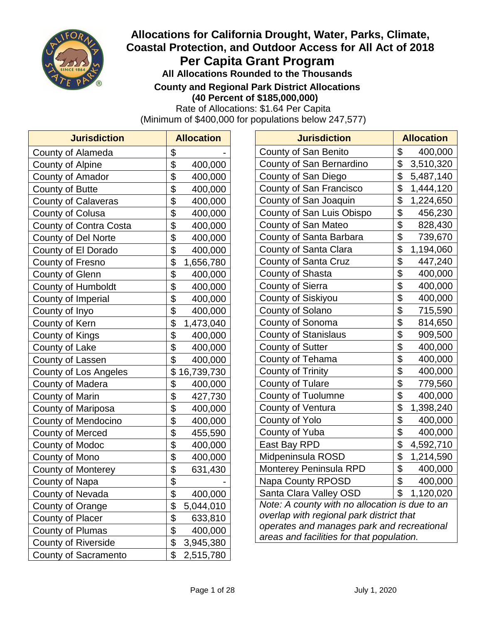

# **Allocations for California Drought, Water, Parks, Climate, Coastal Protection, and Outdoor Access for All Act of 2018 Per Capita Grant Program All Allocations Rounded to the Thousands**

**County and Regional Park District Allocations**

**(40 Percent of \$185,000,000)**

Rate of Allocations: \$1.64 Per Capita

(Minimum of \$400,000 for populations below 247,577)

| <b>Jurisdiction</b>        |                           | <b>Allocation</b> |
|----------------------------|---------------------------|-------------------|
| County of Alameda          | \$                        |                   |
| County of Alpine           | \$                        | 400,000           |
| County of Amador           | $\frac{1}{2}$             | 400,000           |
| <b>County of Butte</b>     | $\overline{\$}$           | 400,000           |
| <b>County of Calaveras</b> | \$                        | 400,000           |
| <b>County of Colusa</b>    | \$                        | 400,000           |
| County of Contra Costa     | \$                        | 400,000           |
| County of Del Norte        | \$                        | 400,000           |
| County of El Dorado        | $\frac{1}{2}$             | 400,000           |
| <b>County of Fresno</b>    | $\overline{\mathfrak{s}}$ | 1,656,780         |
| <b>County of Glenn</b>     | \$                        | 400,000           |
| County of Humboldt         | \$                        | 400,000           |
| County of Imperial         | \$                        | 400,000           |
| County of Inyo             | \$                        | 400,000           |
| County of Kern             | $\frac{1}{2}$             | 1,473,040         |
| County of Kings            | $\overline{\$}$           | 400,000           |
| County of Lake             | \$                        | 400,000           |
| County of Lassen           | \$                        | 400,000           |
| County of Los Angeles      | \$                        | 16,739,730        |
| County of Madera           | \$                        | 400,000           |
| <b>County of Marin</b>     | \$                        | 427,730           |
| County of Mariposa         | $\overline{\$}$           | 400,000           |
| County of Mendocino        | \$                        | 400,000           |
| <b>County of Merced</b>    | \$                        | 455,590           |
| County of Modoc            | \$                        | 400,000           |
| County of Mono             | \$                        | 400,000           |
| <b>County of Monterey</b>  | $\frac{6}{3}$             | 631,430           |
| County of Napa             |                           |                   |
| County of Nevada           | \$                        | 400,000           |
| County of Orange           | $\frac{1}{2}$             | 5,044,010         |
| <b>County of Placer</b>    | $\overline{\mathbf{S}}$   | 633,810           |
| County of Plumas           | $\frac{1}{2}$             | 400,000           |
| <b>County of Riverside</b> | $\frac{1}{2}$             | 3,945,380         |
| County of Sacramento       | $\overline{\$}$           | 2,515,780         |

| <b>Jurisdiction</b>                            |                         | <b>Allocation</b> |  |  |
|------------------------------------------------|-------------------------|-------------------|--|--|
| County of San Benito                           | \$                      | 400,000           |  |  |
| County of San Bernardino                       | \$                      | 3,510,320         |  |  |
| County of San Diego                            | \$                      | 5,487,140         |  |  |
| County of San Francisco                        | \$                      | 1,444,120         |  |  |
| County of San Joaquin                          | \$                      | 1,224,650         |  |  |
| County of San Luis Obispo                      | \$                      | 456,230           |  |  |
| County of San Mateo                            | \$                      | 828,430           |  |  |
| County of Santa Barbara                        | \$                      | 739,670           |  |  |
| County of Santa Clara                          | \$                      | 1,194,060         |  |  |
| County of Santa Cruz                           | \$                      | 447,240           |  |  |
| County of Shasta                               | \$                      | 400,000           |  |  |
| County of Sierra                               | \$                      | 400,000           |  |  |
| County of Siskiyou                             | \$                      | 400,000           |  |  |
| County of Solano                               | \$                      | 715,590           |  |  |
| County of Sonoma                               | \$                      | 814,650           |  |  |
| <b>County of Stanislaus</b>                    | \$                      | 909,500           |  |  |
| County of Sutter                               | \$                      | 400,000           |  |  |
| County of Tehama                               | \$                      | 400,000           |  |  |
| <b>County of Trinity</b>                       | \$                      | 400,000           |  |  |
| <b>County of Tulare</b>                        | $\overline{\mathbf{S}}$ | 779,560           |  |  |
| <b>County of Tuolumne</b>                      | \$                      | 400,000           |  |  |
| County of Ventura                              | \$                      | 1,398,240         |  |  |
| County of Yolo                                 | \$                      | 400,000           |  |  |
| County of Yuba                                 | \$                      | 400,000           |  |  |
| East Bay RPD                                   | \$                      | 4,592,710         |  |  |
| Midpeninsula ROSD                              | \$                      | 1,214,590         |  |  |
| Monterey Peninsula RPD                         | \$                      | 400,000           |  |  |
| Napa County RPOSD                              | \$                      | 400,000           |  |  |
| Santa Clara Valley OSD                         | \$                      | 1,120,020         |  |  |
| Note: A county with no allocation is due to an |                         |                   |  |  |
| overlap with regional park district that       |                         |                   |  |  |
| operates and manages park and recreational     |                         |                   |  |  |
| areas and facilities for that population.      |                         |                   |  |  |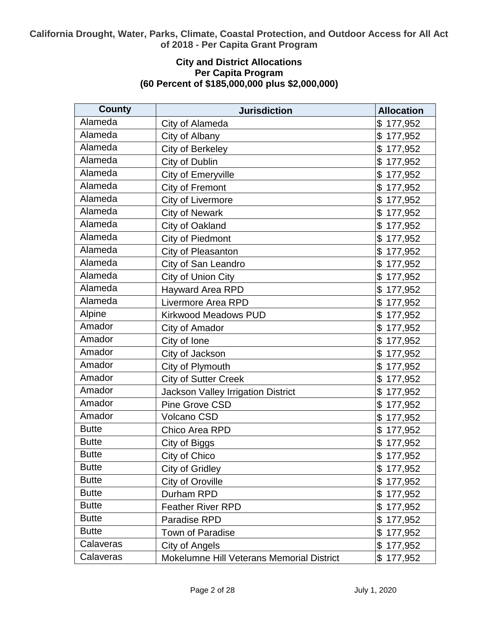# **City and District Allocations Per Capita Program (60 Percent of \$185,000,000 plus \$2,000,000)**

| <b>County</b> | <b>Jurisdiction</b>                       | <b>Allocation</b>         |
|---------------|-------------------------------------------|---------------------------|
| Alameda       | City of Alameda                           | \$177,952                 |
| Alameda       | City of Albany                            | \$<br>177,952             |
| Alameda       | City of Berkeley                          | \$177,952                 |
| Alameda       | City of Dublin                            | \$<br>177,952             |
| Alameda       | City of Emeryville                        | \$<br>177,952             |
| Alameda       | City of Fremont                           | \$<br>177,952             |
| Alameda       | City of Livermore                         | \$<br>177,952             |
| Alameda       | <b>City of Newark</b>                     | \$<br>177,952             |
| Alameda       | City of Oakland                           | \$<br>177,952             |
| Alameda       | City of Piedmont                          | \$<br>177,952             |
| Alameda       | City of Pleasanton                        | \$<br>177,952             |
| Alameda       | City of San Leandro                       | \$<br>177,952             |
| Alameda       | City of Union City                        | \$<br>177,952             |
| Alameda       | Hayward Area RPD                          | \$<br>177,952             |
| Alameda       | Livermore Area RPD                        | \$<br>177,952             |
| Alpine        | <b>Kirkwood Meadows PUD</b>               | \$<br>177,952             |
| Amador        | City of Amador                            | \$177,952                 |
| Amador        | City of Ione                              | 177,952<br>\$             |
| Amador        | City of Jackson                           | \$<br>177,952             |
| Amador        | City of Plymouth                          | \$<br>177,952             |
| Amador        | <b>City of Sutter Creek</b>               | $\mathfrak{S}$<br>177,952 |
| Amador        | <b>Jackson Valley Irrigation District</b> | \$<br>177,952             |
| Amador        | Pine Grove CSD                            | \$<br>177,952             |
| Amador        | Volcano CSD                               | \$<br>177,952             |
| <b>Butte</b>  | Chico Area RPD                            | \$<br>177,952             |
| <b>Butte</b>  | City of Biggs                             | \$177,952                 |
| <b>Butte</b>  | City of Chico                             | \$177,952                 |
| <b>Butte</b>  | City of Gridley                           | \$177,952                 |
| <b>Butte</b>  | City of Oroville                          | \$177,952                 |
| <b>Butte</b>  | Durham RPD                                | \$177,952                 |
| <b>Butte</b>  | <b>Feather River RPD</b>                  | \$177,952                 |
| <b>Butte</b>  | Paradise RPD                              | \$177,952                 |
| <b>Butte</b>  | Town of Paradise                          | \$177,952                 |
| Calaveras     | City of Angels                            | \$177,952                 |
| Calaveras     | Mokelumne Hill Veterans Memorial District | \$177,952                 |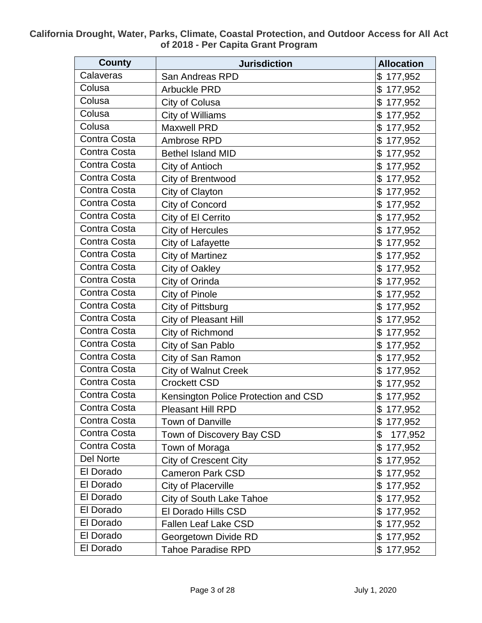| <b>County</b>    | <b>Jurisdiction</b>                  | <b>Allocation</b> |
|------------------|--------------------------------------|-------------------|
| Calaveras        | San Andreas RPD                      | \$177,952         |
| Colusa           | <b>Arbuckle PRD</b>                  | \$<br>177,952     |
| Colusa           | City of Colusa                       | \$<br>177,952     |
| Colusa           | City of Williams                     | \$<br>177,952     |
| Colusa           | <b>Maxwell PRD</b>                   | \$<br>177,952     |
| Contra Costa     | Ambrose RPD                          | \$<br>177,952     |
| Contra Costa     | <b>Bethel Island MID</b>             | \$<br>177,952     |
| Contra Costa     | City of Antioch                      | \$<br>177,952     |
| Contra Costa     | City of Brentwood                    | \$<br>177,952     |
| Contra Costa     | City of Clayton                      | \$<br>177,952     |
| Contra Costa     | City of Concord                      | \$<br>177,952     |
| Contra Costa     | City of El Cerrito                   | \$<br>177,952     |
| Contra Costa     | <b>City of Hercules</b>              | \$<br>177,952     |
| Contra Costa     | City of Lafayette                    | \$<br>177,952     |
| Contra Costa     | <b>City of Martinez</b>              | \$<br>177,952     |
| Contra Costa     | City of Oakley                       | \$<br>177,952     |
| Contra Costa     | City of Orinda                       | \$<br>177,952     |
| Contra Costa     | City of Pinole                       | 177,952<br>\$     |
| Contra Costa     | City of Pittsburg                    | \$<br>177,952     |
| Contra Costa     | City of Pleasant Hill                | \$<br>177,952     |
| Contra Costa     | City of Richmond                     | \$<br>177,952     |
| Contra Costa     | City of San Pablo                    | \$<br>177,952     |
| Contra Costa     | City of San Ramon                    | \$<br>177,952     |
| Contra Costa     | <b>City of Walnut Creek</b>          | \$<br>177,952     |
| Contra Costa     | <b>Crockett CSD</b>                  | \$<br>177,952     |
| Contra Costa     | Kensington Police Protection and CSD | \$<br>177,952     |
| Contra Costa     | <b>Pleasant Hill RPD</b>             | \$177,952         |
| Contra Costa     | <b>Town of Danville</b>              | \$177,952         |
| Contra Costa     | Town of Discovery Bay CSD            | \$<br>177,952     |
| Contra Costa     | Town of Moraga                       | \$177,952         |
| <b>Del Norte</b> | City of Crescent City                | \$177,952         |
| El Dorado        | <b>Cameron Park CSD</b>              | \$<br>177,952     |
| El Dorado        | <b>City of Placerville</b>           | \$177,952         |
| El Dorado        | City of South Lake Tahoe             | \$<br>177,952     |
| El Dorado        | El Dorado Hills CSD                  | \$<br>177,952     |
| El Dorado        | <b>Fallen Leaf Lake CSD</b>          | \$177,952         |
| El Dorado        | Georgetown Divide RD                 | \$177,952         |
| El Dorado        | <b>Tahoe Paradise RPD</b>            | \$177,952         |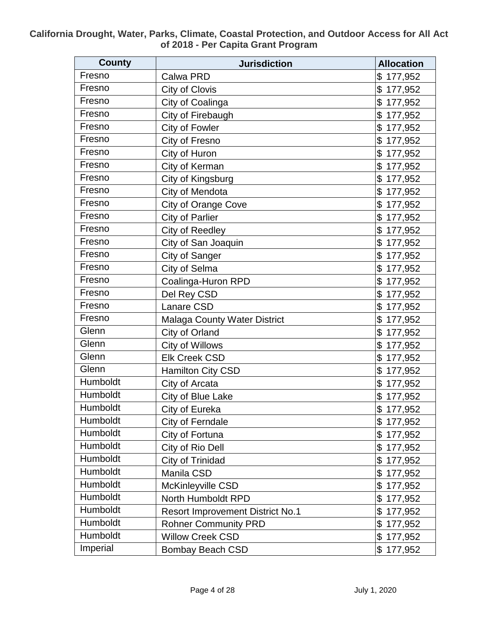| <b>County</b> | <b>Jurisdiction</b>                     | <b>Allocation</b> |
|---------------|-----------------------------------------|-------------------|
| Fresno        | Calwa PRD                               | \$<br>177,952     |
| Fresno        | City of Clovis                          | \$<br>177,952     |
| Fresno        | City of Coalinga                        | \$<br>177,952     |
| Fresno        | City of Firebaugh                       | 177,952<br>\$     |
| Fresno        | City of Fowler                          | \$<br>177,952     |
| Fresno        | City of Fresno                          | \$<br>177,952     |
| Fresno        | City of Huron                           | \$<br>177,952     |
| Fresno        | City of Kerman                          | \$<br>177,952     |
| Fresno        | City of Kingsburg                       | \$<br>177,952     |
| Fresno        | City of Mendota                         | \$<br>177,952     |
| Fresno        | <b>City of Orange Cove</b>              | \$<br>177,952     |
| Fresno        | <b>City of Parlier</b>                  | \$<br>177,952     |
| Fresno        | City of Reedley                         | \$<br>177,952     |
| Fresno        | City of San Joaquin                     | \$<br>177,952     |
| Fresno        | City of Sanger                          | \$<br>177,952     |
| Fresno        | City of Selma                           | \$<br>177,952     |
| Fresno        | Coalinga-Huron RPD                      | \$<br>177,952     |
| Fresno        | Del Rey CSD                             | \$<br>177,952     |
| Fresno        | Lanare CSD                              | \$<br>177,952     |
| Fresno        | <b>Malaga County Water District</b>     | \$<br>177,952     |
| Glenn         | City of Orland                          | \$<br>177,952     |
| Glenn         | City of Willows                         | \$<br>177,952     |
| Glenn         | <b>Elk Creek CSD</b>                    | \$<br>177,952     |
| Glenn         | Hamilton City CSD                       | \$<br>177,952     |
| Humboldt      | City of Arcata                          | \$<br>177,952     |
| Humboldt      | City of Blue Lake                       | \$<br>177,952     |
| Humboldt      | City of Eureka                          | \$177,952         |
| Humboldt      | City of Ferndale                        | \$177,952         |
| Humboldt      | City of Fortuna                         | \$<br>177,952     |
| Humboldt      | City of Rio Dell                        | \$<br>177,952     |
| Humboldt      | City of Trinidad                        | \$<br>177,952     |
| Humboldt      | Manila CSD                              | \$<br>177,952     |
| Humboldt      | McKinleyville CSD                       | \$<br>177,952     |
| Humboldt      | North Humboldt RPD                      | \$<br>177,952     |
| Humboldt      | <b>Resort Improvement District No.1</b> | \$<br>177,952     |
| Humboldt      | <b>Rohner Community PRD</b>             | \$<br>177,952     |
| Humboldt      | <b>Willow Creek CSD</b>                 | \$<br>177,952     |
| Imperial      | <b>Bombay Beach CSD</b>                 | \$177,952         |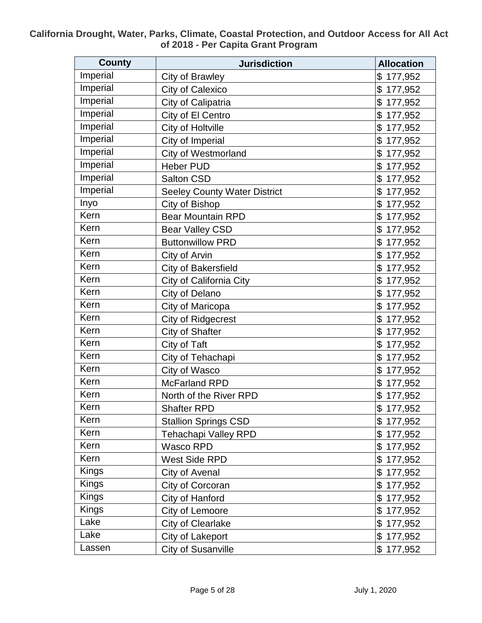| <b>County</b> | <b>Jurisdiction</b>                 | <b>Allocation</b> |
|---------------|-------------------------------------|-------------------|
| Imperial      | City of Brawley                     | \$<br>177,952     |
| Imperial      | City of Calexico                    | \$<br>177,952     |
| Imperial      | City of Calipatria                  | \$<br>177,952     |
| Imperial      | City of El Centro                   | \$<br>177,952     |
| Imperial      | City of Holtville                   | \$<br>177,952     |
| Imperial      | City of Imperial                    | \$<br>177,952     |
| Imperial      | City of Westmorland                 | \$<br>177,952     |
| Imperial      | <b>Heber PUD</b>                    | \$<br>177,952     |
| Imperial      | Salton CSD                          | \$<br>177,952     |
| Imperial      | <b>Seeley County Water District</b> | \$<br>177,952     |
| Inyo          | City of Bishop                      | \$<br>177,952     |
| Kern          | <b>Bear Mountain RPD</b>            | \$<br>177,952     |
| Kern          | <b>Bear Valley CSD</b>              | \$<br>177,952     |
| Kern          | <b>Buttonwillow PRD</b>             | \$<br>177,952     |
| Kern          | City of Arvin                       | \$<br>177,952     |
| Kern          | City of Bakersfield                 | \$<br>177,952     |
| Kern          | City of California City             | \$<br>177,952     |
| Kern          | City of Delano                      | \$<br>177,952     |
| Kern          | City of Maricopa                    | \$<br>177,952     |
| Kern          | <b>City of Ridgecrest</b>           | \$<br>177,952     |
| Kern          | City of Shafter                     | \$<br>177,952     |
| Kern          | City of Taft                        | \$<br>177,952     |
| Kern          | City of Tehachapi                   | \$<br>177,952     |
| Kern          | City of Wasco                       | \$<br>177,952     |
| Kern          | <b>McFarland RPD</b>                | \$<br>177,952     |
| Kern          | North of the River RPD              | \$<br>177,952     |
| Kern          | <b>Shafter RPD</b>                  | \$177,952         |
| Kern          | <b>Stallion Springs CSD</b>         | \$177,952         |
| Kern          | <b>Tehachapi Valley RPD</b>         | \$177,952         |
| Kern          | Wasco RPD                           | \$<br>177,952     |
| Kern          | West Side RPD                       | \$177,952         |
| <b>Kings</b>  | City of Avenal                      | \$<br>177,952     |
| <b>Kings</b>  | City of Corcoran                    | \$177,952         |
| <b>Kings</b>  | City of Hanford                     | \$<br>177,952     |
| <b>Kings</b>  | City of Lemoore                     | \$177,952         |
| Lake          | <b>City of Clearlake</b>            | \$177,952         |
| Lake          | City of Lakeport                    | \$177,952         |
| Lassen        | <b>City of Susanville</b>           | \$177,952         |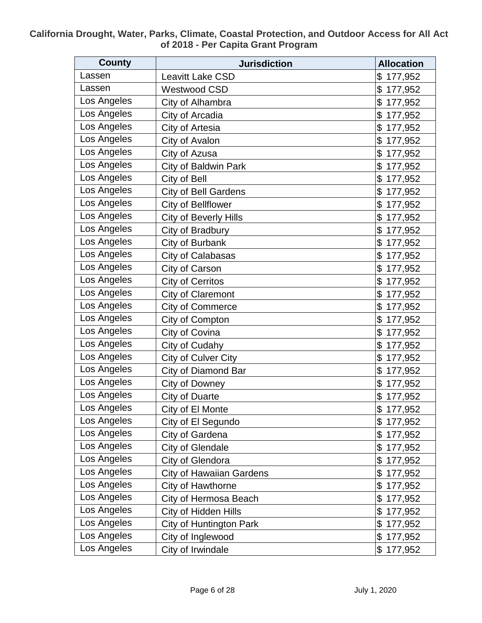| <b>County</b> | <b>Jurisdiction</b>             | <b>Allocation</b> |
|---------------|---------------------------------|-------------------|
| Lassen        | <b>Leavitt Lake CSD</b>         | \$<br>177,952     |
| Lassen        | <b>Westwood CSD</b>             | \$<br>177,952     |
| Los Angeles   | City of Alhambra                | \$<br>177,952     |
| Los Angeles   | City of Arcadia                 | \$<br>177,952     |
| Los Angeles   | City of Artesia                 | \$<br>177,952     |
| Los Angeles   | City of Avalon                  | \$<br>177,952     |
| Los Angeles   | City of Azusa                   | \$<br>177,952     |
| Los Angeles   | City of Baldwin Park            | \$<br>177,952     |
| Los Angeles   | City of Bell                    | \$<br>177,952     |
| Los Angeles   | <b>City of Bell Gardens</b>     | \$<br>177,952     |
| Los Angeles   | City of Bellflower              | \$<br>177,952     |
| Los Angeles   | City of Beverly Hills           | \$<br>177,952     |
| Los Angeles   | City of Bradbury                | \$<br>177,952     |
| Los Angeles   | City of Burbank                 | \$<br>177,952     |
| Los Angeles   | City of Calabasas               | \$<br>177,952     |
| Los Angeles   | City of Carson                  | \$<br>177,952     |
| Los Angeles   | <b>City of Cerritos</b>         | \$<br>177,952     |
| Los Angeles   | <b>City of Claremont</b>        | 177,952<br>\$     |
| Los Angeles   | <b>City of Commerce</b>         | \$<br>177,952     |
| Los Angeles   | City of Compton                 | \$<br>177,952     |
| Los Angeles   | City of Covina                  | \$<br>177,952     |
| Los Angeles   | City of Cudahy                  | \$<br>177,952     |
| Los Angeles   | City of Culver City             | \$<br>177,952     |
| Los Angeles   | City of Diamond Bar             | \$<br>177,952     |
| Los Angeles   | City of Downey                  | \$<br>177,952     |
| Los Angeles   | <b>City of Duarte</b>           | \$<br>177,952     |
| Los Angeles   | City of El Monte                | \$177,952         |
| Los Angeles   | City of El Segundo              | \$177,952         |
| Los Angeles   | City of Gardena                 | \$177,952         |
| Los Angeles   | <b>City of Glendale</b>         | \$<br>177,952     |
| Los Angeles   | City of Glendora                | \$<br>177,952     |
| Los Angeles   | <b>City of Hawaiian Gardens</b> | \$<br>177,952     |
| Los Angeles   | City of Hawthorne               | \$<br>177,952     |
| Los Angeles   | City of Hermosa Beach           | \$<br>177,952     |
| Los Angeles   | City of Hidden Hills            | \$<br>177,952     |
| Los Angeles   | City of Huntington Park         | \$<br>177,952     |
| Los Angeles   | City of Inglewood               | \$<br>177,952     |
| Los Angeles   | City of Irwindale               | \$177,952         |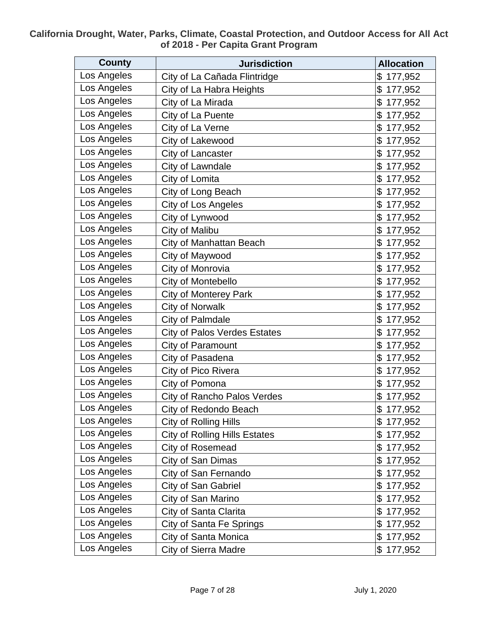| <b>County</b> | <b>Jurisdiction</b>                  | <b>Allocation</b> |
|---------------|--------------------------------------|-------------------|
| Los Angeles   | City of La Cañada Flintridge         | \$<br>177,952     |
| Los Angeles   | City of La Habra Heights             | \$<br>177,952     |
| Los Angeles   | City of La Mirada                    | \$<br>177,952     |
| Los Angeles   | City of La Puente                    | \$<br>177,952     |
| Los Angeles   | City of La Verne                     | \$<br>177,952     |
| Los Angeles   | City of Lakewood                     | \$<br>177,952     |
| Los Angeles   | City of Lancaster                    | \$<br>177,952     |
| Los Angeles   | City of Lawndale                     | \$<br>177,952     |
| Los Angeles   | City of Lomita                       | \$<br>177,952     |
| Los Angeles   | City of Long Beach                   | \$<br>177,952     |
| Los Angeles   | City of Los Angeles                  | \$<br>177,952     |
| Los Angeles   | City of Lynwood                      | \$<br>177,952     |
| Los Angeles   | City of Malibu                       | \$<br>177,952     |
| Los Angeles   | City of Manhattan Beach              | \$<br>177,952     |
| Los Angeles   | City of Maywood                      | \$<br>177,952     |
| Los Angeles   | City of Monrovia                     | \$<br>177,952     |
| Los Angeles   | City of Montebello                   | \$<br>177,952     |
| Los Angeles   | <b>City of Monterey Park</b>         | \$<br>177,952     |
| Los Angeles   | <b>City of Norwalk</b>               | \$<br>177,952     |
| Los Angeles   | City of Palmdale                     | \$<br>177,952     |
| Los Angeles   | <b>City of Palos Verdes Estates</b>  | \$<br>177,952     |
| Los Angeles   | City of Paramount                    | \$<br>177,952     |
| Los Angeles   | City of Pasadena                     | \$<br>177,952     |
| Los Angeles   | City of Pico Rivera                  | \$<br>177,952     |
| Los Angeles   | City of Pomona                       | \$<br>177,952     |
| Los Angeles   | City of Rancho Palos Verdes          | \$<br>177,952     |
| Los Angeles   | City of Redondo Beach                | \$177,952         |
| Los Angeles   | <b>City of Rolling Hills</b>         | \$177,952         |
| Los Angeles   | <b>City of Rolling Hills Estates</b> | \$177,952         |
| Los Angeles   | City of Rosemead                     | \$177,952         |
| Los Angeles   | City of San Dimas                    | \$177,952         |
| Los Angeles   | City of San Fernando                 | 177,952<br>\$     |
| Los Angeles   | City of San Gabriel                  | \$177,952         |
| Los Angeles   | City of San Marino                   | 177,952<br>\$     |
| Los Angeles   | City of Santa Clarita                | \$<br>177,952     |
| Los Angeles   | City of Santa Fe Springs             | \$<br>177,952     |
| Los Angeles   | City of Santa Monica                 | \$<br>177,952     |
| Los Angeles   | <b>City of Sierra Madre</b>          | \$177,952         |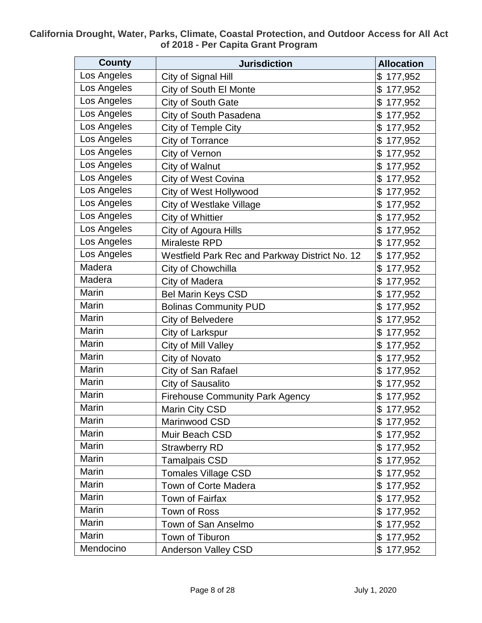| <b>County</b> | <b>Jurisdiction</b>                            | <b>Allocation</b> |
|---------------|------------------------------------------------|-------------------|
| Los Angeles   | City of Signal Hill                            | 177,952<br>\$     |
| Los Angeles   | City of South El Monte                         | \$<br>177,952     |
| Los Angeles   | City of South Gate                             | \$<br>177,952     |
| Los Angeles   | City of South Pasadena                         | \$<br>177,952     |
| Los Angeles   | City of Temple City                            | \$<br>177,952     |
| Los Angeles   | City of Torrance                               | \$<br>177,952     |
| Los Angeles   | City of Vernon                                 | \$<br>177,952     |
| Los Angeles   | City of Walnut                                 | \$<br>177,952     |
| Los Angeles   | City of West Covina                            | \$<br>177,952     |
| Los Angeles   | City of West Hollywood                         | \$<br>177,952     |
| Los Angeles   | <b>City of Westlake Village</b>                | \$<br>177,952     |
| Los Angeles   | City of Whittier                               | \$<br>177,952     |
| Los Angeles   | City of Agoura Hills                           | \$<br>177,952     |
| Los Angeles   | Miraleste RPD                                  | \$<br>177,952     |
| Los Angeles   | Westfield Park Rec and Parkway District No. 12 | \$<br>177,952     |
| Madera        | City of Chowchilla                             | \$<br>177,952     |
| Madera        | City of Madera                                 | \$<br>177,952     |
| Marin         | <b>Bel Marin Keys CSD</b>                      | \$<br>177,952     |
| Marin         | <b>Bolinas Community PUD</b>                   | \$<br>177,952     |
| Marin         | City of Belvedere                              | \$<br>177,952     |
| Marin         | City of Larkspur                               | \$<br>177,952     |
| Marin         | City of Mill Valley                            | \$<br>177,952     |
| Marin         | City of Novato                                 | \$<br>177,952     |
| Marin         | City of San Rafael                             | \$<br>177,952     |
| Marin         | <b>City of Sausalito</b>                       | \$<br>177,952     |
| Marin         | <b>Firehouse Community Park Agency</b>         | \$<br>177,952     |
| Marin         | Marin City CSD                                 | \$177,952         |
| Marin         | Marinwood CSD                                  | \$177,952         |
| Marin         | Muir Beach CSD                                 | \$177,952         |
| Marin         | <b>Strawberry RD</b>                           | \$177,952         |
| Marin         | <b>Tamalpais CSD</b>                           | \$177,952         |
| Marin         | Tomales Village CSD                            | 177,952<br>\$     |
| Marin         | Town of Corte Madera                           | \$<br>177,952     |
| Marin         | Town of Fairfax                                | \$<br>177,952     |
| Marin         | Town of Ross                                   | \$177,952         |
| Marin         | Town of San Anselmo                            | \$177,952         |
| Marin         | Town of Tiburon                                | \$177,952         |
| Mendocino     | Anderson Valley CSD                            | \$177,952         |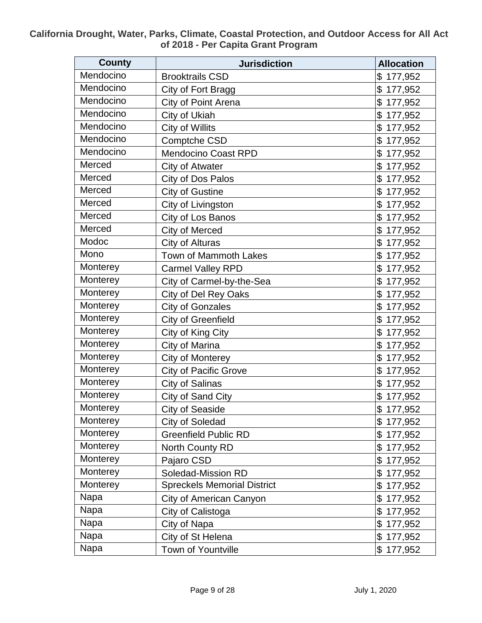| <b>County</b> | <b>Jurisdiction</b>                | <b>Allocation</b> |
|---------------|------------------------------------|-------------------|
| Mendocino     | <b>Brooktrails CSD</b>             | 177,952<br>\$     |
| Mendocino     | City of Fort Bragg                 | \$<br>177,952     |
| Mendocino     | City of Point Arena                | \$<br>177,952     |
| Mendocino     | City of Ukiah                      | 177,952<br>\$     |
| Mendocino     | City of Willits                    | \$<br>177,952     |
| Mendocino     | Comptche CSD                       | \$<br>177,952     |
| Mendocino     | <b>Mendocino Coast RPD</b>         | \$<br>177,952     |
| Merced        | City of Atwater                    | \$<br>177,952     |
| Merced        | City of Dos Palos                  | \$<br>177,952     |
| Merced        | <b>City of Gustine</b>             | \$<br>177,952     |
| Merced        | City of Livingston                 | \$<br>177,952     |
| Merced        | City of Los Banos                  | \$<br>177,952     |
| Merced        | City of Merced                     | \$<br>177,952     |
| Modoc         | City of Alturas                    | \$<br>177,952     |
| Mono          | Town of Mammoth Lakes              | \$<br>177,952     |
| Monterey      | <b>Carmel Valley RPD</b>           | \$<br>177,952     |
| Monterey      | City of Carmel-by-the-Sea          | \$<br>177,952     |
| Monterey      | City of Del Rey Oaks               | \$<br>177,952     |
| Monterey      | <b>City of Gonzales</b>            | \$<br>177,952     |
| Monterey      | <b>City of Greenfield</b>          | \$<br>177,952     |
| Monterey      | City of King City                  | \$<br>177,952     |
| Monterey      | City of Marina                     | \$<br>177,952     |
| Monterey      | <b>City of Monterey</b>            | \$<br>177,952     |
| Monterey      | <b>City of Pacific Grove</b>       | \$<br>177,952     |
| Monterey      | City of Salinas                    | \$<br>177,952     |
| Monterey      | City of Sand City                  | \$<br>177,952     |
| Monterey      | <b>City of Seaside</b>             | \$177,952         |
| Monterey      | City of Soledad                    | \$177,952         |
| Monterey      | <b>Greenfield Public RD</b>        | \$<br>177,952     |
| Monterey      | North County RD                    | \$<br>177,952     |
| Monterey      | Pajaro CSD                         | \$<br>177,952     |
| Monterey      | Soledad-Mission RD                 | \$<br>177,952     |
| Monterey      | <b>Spreckels Memorial District</b> | \$<br>177,952     |
| Napa          | City of American Canyon            | \$<br>177,952     |
| Napa          | City of Calistoga                  | \$<br>177,952     |
| Napa          | City of Napa                       | \$177,952         |
| Napa          | City of St Helena                  | \$<br>177,952     |
| Napa          | Town of Yountville                 | \$177,952         |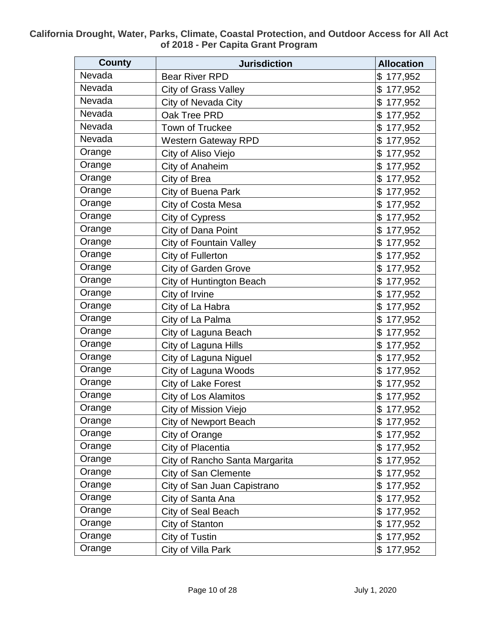| <b>County</b> | <b>Jurisdiction</b>            | <b>Allocation</b> |
|---------------|--------------------------------|-------------------|
| Nevada        | <b>Bear River RPD</b>          | 177,952<br>\$     |
| Nevada        | <b>City of Grass Valley</b>    | \$<br>177,952     |
| Nevada        | City of Nevada City            | \$<br>177,952     |
| Nevada        | Oak Tree PRD                   | \$<br>177,952     |
| Nevada        | Town of Truckee                | \$<br>177,952     |
| Nevada        | <b>Western Gateway RPD</b>     | \$<br>177,952     |
| Orange        | City of Aliso Viejo            | \$<br>177,952     |
| Orange        | City of Anaheim                | \$<br>177,952     |
| Orange        | City of Brea                   | \$<br>177,952     |
| Orange        | City of Buena Park             | \$<br>177,952     |
| Orange        | City of Costa Mesa             | \$<br>177,952     |
| Orange        | City of Cypress                | \$<br>177,952     |
| Orange        | City of Dana Point             | \$<br>177,952     |
| Orange        | <b>City of Fountain Valley</b> | \$<br>177,952     |
| Orange        | City of Fullerton              | \$<br>177,952     |
| Orange        | <b>City of Garden Grove</b>    | \$<br>177,952     |
| Orange        | City of Huntington Beach       | \$<br>177,952     |
| Orange        | City of Irvine                 | \$<br>177,952     |
| Orange        | City of La Habra               | \$<br>177,952     |
| Orange        | City of La Palma               | \$<br>177,952     |
| Orange        | City of Laguna Beach           | \$<br>177,952     |
| Orange        | City of Laguna Hills           | \$<br>177,952     |
| Orange        | City of Laguna Niguel          | \$<br>177,952     |
| Orange        | City of Laguna Woods           | \$<br>177,952     |
| Orange        | City of Lake Forest            | \$<br>177,952     |
| Orange        | <b>City of Los Alamitos</b>    | \$<br>177,952     |
| Orange        | City of Mission Viejo          | \$177,952         |
| Orange        | <b>City of Newport Beach</b>   | \$177,952         |
| Orange        | City of Orange                 | \$177,952         |
| Orange        | City of Placentia              | \$177,952         |
| Orange        | City of Rancho Santa Margarita | \$177,952         |
| Orange        | City of San Clemente           | \$<br>177,952     |
| Orange        | City of San Juan Capistrano    | \$<br>177,952     |
| Orange        | City of Santa Ana              | \$<br>177,952     |
| Orange        | City of Seal Beach             | \$<br>177,952     |
| Orange        | City of Stanton                | \$177,952         |
| Orange        | City of Tustin                 | \$177,952         |
| Orange        | City of Villa Park             | \$177,952         |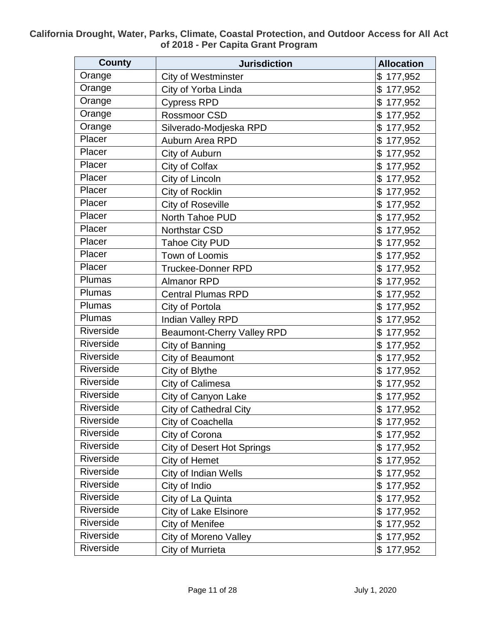| <b>County</b> | <b>Jurisdiction</b>               | <b>Allocation</b> |
|---------------|-----------------------------------|-------------------|
| Orange        | <b>City of Westminster</b>        | \$<br>177,952     |
| Orange        | City of Yorba Linda               | \$<br>177,952     |
| Orange        | <b>Cypress RPD</b>                | \$<br>177,952     |
| Orange        | Rossmoor CSD                      | \$<br>177,952     |
| Orange        | Silverado-Modjeska RPD            | \$<br>177,952     |
| Placer        | Auburn Area RPD                   | \$<br>177,952     |
| Placer        | City of Auburn                    | \$<br>177,952     |
| Placer        | City of Colfax                    | \$<br>177,952     |
| Placer        | City of Lincoln                   | \$<br>177,952     |
| Placer        | City of Rocklin                   | \$<br>177,952     |
| Placer        | <b>City of Roseville</b>          | \$<br>177,952     |
| Placer        | North Tahoe PUD                   | \$<br>177,952     |
| Placer        | <b>Northstar CSD</b>              | \$<br>177,952     |
| Placer        | <b>Tahoe City PUD</b>             | \$<br>177,952     |
| Placer        | Town of Loomis                    | \$<br>177,952     |
| Placer        | <b>Truckee-Donner RPD</b>         | \$<br>177,952     |
| Plumas        | <b>Almanor RPD</b>                | \$<br>177,952     |
| Plumas        | <b>Central Plumas RPD</b>         | \$<br>177,952     |
| Plumas        | City of Portola                   | \$<br>177,952     |
| Plumas        | Indian Valley RPD                 | \$<br>177,952     |
| Riverside     | <b>Beaumont-Cherry Valley RPD</b> | \$<br>177,952     |
| Riverside     | City of Banning                   | \$<br>177,952     |
| Riverside     | City of Beaumont                  | \$<br>177,952     |
| Riverside     | City of Blythe                    | \$<br>177,952     |
| Riverside     | City of Calimesa                  | \$<br>177,952     |
| Riverside     | City of Canyon Lake               | \$<br>177,952     |
| Riverside     | <b>City of Cathedral City</b>     | \$177,952         |
| Riverside     | City of Coachella                 | \$177,952         |
| Riverside     | City of Corona                    | \$177,952         |
| Riverside     | <b>City of Desert Hot Springs</b> | \$177,952         |
| Riverside     | City of Hemet                     | \$177,952         |
| Riverside     | <b>City of Indian Wells</b>       | \$<br>177,952     |
| Riverside     | City of Indio                     | \$177,952         |
| Riverside     | City of La Quinta                 | \$<br>177,952     |
| Riverside     | <b>City of Lake Elsinore</b>      | \$<br>177,952     |
| Riverside     | City of Menifee                   | \$177,952         |
| Riverside     | <b>City of Moreno Valley</b>      | \$177,952         |
| Riverside     | City of Murrieta                  | \$177,952         |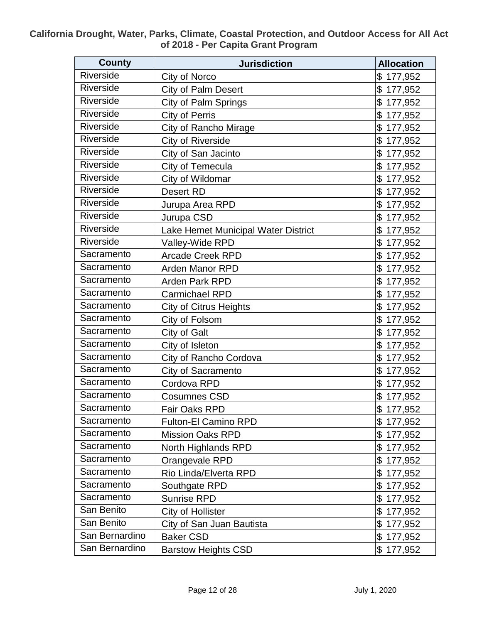| <b>County</b>    | <b>Jurisdiction</b>                 | <b>Allocation</b> |
|------------------|-------------------------------------|-------------------|
| Riverside        | City of Norco                       | \$<br>177,952     |
| Riverside        | City of Palm Desert                 | \$<br>177,952     |
| Riverside        | City of Palm Springs                | \$<br>177,952     |
| Riverside        | <b>City of Perris</b>               | \$<br>177,952     |
| Riverside        | <b>City of Rancho Mirage</b>        | \$<br>177,952     |
| <b>Riverside</b> | <b>City of Riverside</b>            | \$<br>177,952     |
| <b>Riverside</b> | City of San Jacinto                 | \$<br>177,952     |
| Riverside        | City of Temecula                    | \$<br>177,952     |
| Riverside        | City of Wildomar                    | \$<br>177,952     |
| Riverside        | <b>Desert RD</b>                    | \$<br>177,952     |
| Riverside        | Jurupa Area RPD                     | \$<br>177,952     |
| Riverside        | Jurupa CSD                          | \$<br>177,952     |
| <b>Riverside</b> | Lake Hemet Municipal Water District | \$<br>177,952     |
| Riverside        | Valley-Wide RPD                     | \$<br>177,952     |
| Sacramento       | <b>Arcade Creek RPD</b>             | \$<br>177,952     |
| Sacramento       | <b>Arden Manor RPD</b>              | \$<br>177,952     |
| Sacramento       | Arden Park RPD                      | \$<br>177,952     |
| Sacramento       | <b>Carmichael RPD</b>               | \$<br>177,952     |
| Sacramento       | <b>City of Citrus Heights</b>       | \$<br>177,952     |
| Sacramento       | City of Folsom                      | \$<br>177,952     |
| Sacramento       | City of Galt                        | \$<br>177,952     |
| Sacramento       | City of Isleton                     | \$<br>177,952     |
| Sacramento       | City of Rancho Cordova              | \$<br>177,952     |
| Sacramento       | City of Sacramento                  | \$<br>177,952     |
| Sacramento       | Cordova RPD                         | \$<br>177,952     |
| Sacramento       | <b>Cosumnes CSD</b>                 | \$<br>177,952     |
| Sacramento       | Fair Oaks RPD                       | \$177,952         |
| Sacramento       | <b>Fulton-El Camino RPD</b>         | \$177,952         |
| Sacramento       | <b>Mission Oaks RPD</b>             | \$177,952         |
| Sacramento       | North Highlands RPD                 | \$177,952         |
| Sacramento       | Orangevale RPD                      | \$<br>177,952     |
| Sacramento       | Rio Linda/Elverta RPD               | \$177,952         |
| Sacramento       | Southgate RPD                       | \$<br>177,952     |
| Sacramento       | <b>Sunrise RPD</b>                  | \$<br>177,952     |
| San Benito       | City of Hollister                   | \$<br>177,952     |
| San Benito       | City of San Juan Bautista           | \$177,952         |
| San Bernardino   | <b>Baker CSD</b>                    | \$<br>177,952     |
| San Bernardino   | <b>Barstow Heights CSD</b>          | \$177,952         |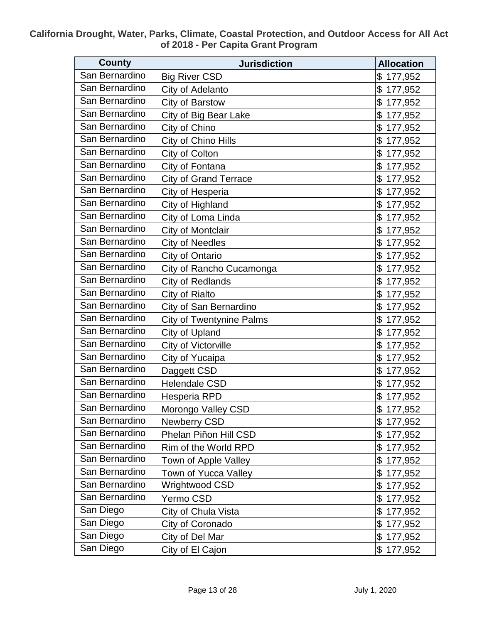| <b>County</b>  | <b>Jurisdiction</b>             | <b>Allocation</b> |
|----------------|---------------------------------|-------------------|
| San Bernardino | <b>Big River CSD</b>            | 177,952<br>\$     |
| San Bernardino | City of Adelanto                | \$<br>177,952     |
| San Bernardino | City of Barstow                 | \$<br>177,952     |
| San Bernardino | City of Big Bear Lake           | \$<br>177,952     |
| San Bernardino | City of Chino                   | \$<br>177,952     |
| San Bernardino | City of Chino Hills             | \$<br>177,952     |
| San Bernardino | City of Colton                  | \$<br>177,952     |
| San Bernardino | City of Fontana                 | \$<br>177,952     |
| San Bernardino | <b>City of Grand Terrace</b>    | \$<br>177,952     |
| San Bernardino | City of Hesperia                | \$<br>177,952     |
| San Bernardino | City of Highland                | \$<br>177,952     |
| San Bernardino | City of Loma Linda              | \$<br>177,952     |
| San Bernardino | City of Montclair               | \$<br>177,952     |
| San Bernardino | <b>City of Needles</b>          | \$<br>177,952     |
| San Bernardino | City of Ontario                 | \$<br>177,952     |
| San Bernardino | City of Rancho Cucamonga        | \$<br>177,952     |
| San Bernardino | <b>City of Redlands</b>         | \$<br>177,952     |
| San Bernardino | City of Rialto                  | \$<br>177,952     |
| San Bernardino | City of San Bernardino          | \$<br>177,952     |
| San Bernardino | <b>City of Twentynine Palms</b> | \$<br>177,952     |
| San Bernardino | City of Upland                  | \$<br>177,952     |
| San Bernardino | City of Victorville             | \$<br>177,952     |
| San Bernardino | City of Yucaipa                 | \$<br>177,952     |
| San Bernardino | Daggett CSD                     | \$<br>177,952     |
| San Bernardino | <b>Helendale CSD</b>            | \$<br>177,952     |
| San Bernardino | Hesperia RPD                    | \$177,952         |
| San Bernardino | Morongo Valley CSD              | \$177,952         |
| San Bernardino | Newberry CSD                    | \$177,952         |
| San Bernardino | Phelan Piñon Hill CSD           | \$177,952         |
| San Bernardino | Rim of the World RPD            | \$177,952         |
| San Bernardino | Town of Apple Valley            | \$<br>177,952     |
| San Bernardino | Town of Yucca Valley            | \$<br>177,952     |
| San Bernardino | Wrightwood CSD                  | \$177,952         |
| San Bernardino | Yermo CSD                       | \$<br>177,952     |
| San Diego      | City of Chula Vista             | \$177,952         |
| San Diego      | City of Coronado                | \$177,952         |
| San Diego      | City of Del Mar                 | \$<br>177,952     |
| San Diego      | City of El Cajon                | \$177,952         |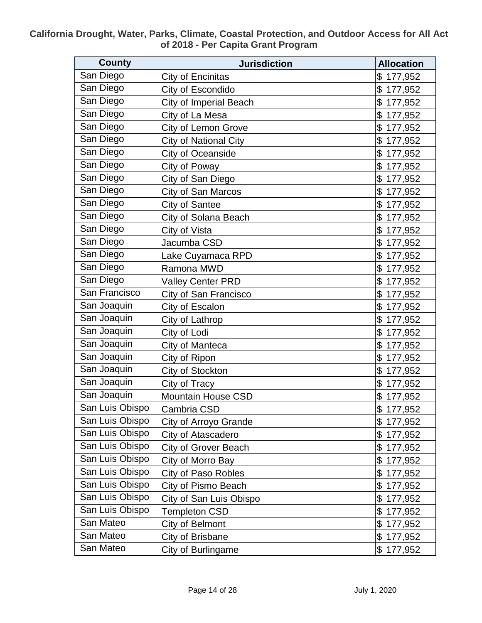| <b>County</b>   | <b>Jurisdiction</b>           | <b>Allocation</b> |
|-----------------|-------------------------------|-------------------|
| San Diego       | City of Encinitas             | 177,952<br>\$     |
| San Diego       | City of Escondido             | \$<br>177,952     |
| San Diego       | <b>City of Imperial Beach</b> | \$<br>177,952     |
| San Diego       | City of La Mesa               | \$<br>177,952     |
| San Diego       | City of Lemon Grove           | \$<br>177,952     |
| San Diego       | City of National City         | \$<br>177,952     |
| San Diego       | City of Oceanside             | \$<br>177,952     |
| San Diego       | City of Poway                 | \$<br>177,952     |
| San Diego       | City of San Diego             | \$<br>177,952     |
| San Diego       | City of San Marcos            | \$<br>177,952     |
| San Diego       | City of Santee                | \$<br>177,952     |
| San Diego       | City of Solana Beach          | \$<br>177,952     |
| San Diego       | City of Vista                 | \$<br>177,952     |
| San Diego       | Jacumba CSD                   | \$<br>177,952     |
| San Diego       | Lake Cuyamaca RPD             | \$<br>177,952     |
| San Diego       | Ramona MWD                    | \$<br>177,952     |
| San Diego       | <b>Valley Center PRD</b>      | \$<br>177,952     |
| San Francisco   | City of San Francisco         | \$<br>177,952     |
| San Joaquin     | City of Escalon               | \$<br>177,952     |
| San Joaquin     | City of Lathrop               | \$<br>177,952     |
| San Joaquin     | City of Lodi                  | 177,952<br>\$     |
| San Joaquin     | City of Manteca               | \$<br>177,952     |
| San Joaquin     | City of Ripon                 | \$<br>177,952     |
| San Joaquin     | City of Stockton              | \$<br>177,952     |
| San Joaquin     | City of Tracy                 | \$<br>177,952     |
| San Joaquin     | Mountain House CSD            | \$<br>177,952     |
| San Luis Obispo | Cambria CSD                   | \$177,952         |
| San Luis Obispo | City of Arroyo Grande         | \$177,952         |
| San Luis Obispo | City of Atascadero            | \$177,952         |
| San Luis Obispo | <b>City of Grover Beach</b>   | \$177,952         |
| San Luis Obispo | City of Morro Bay             | \$177,952         |
| San Luis Obispo | <b>City of Paso Robles</b>    | \$<br>177,952     |
| San Luis Obispo | City of Pismo Beach           | \$177,952         |
| San Luis Obispo | City of San Luis Obispo       | \$<br>177,952     |
| San Luis Obispo | <b>Templeton CSD</b>          | \$<br>177,952     |
| San Mateo       | City of Belmont               | \$177,952         |
| San Mateo       | City of Brisbane              | \$177,952         |
| San Mateo       | City of Burlingame            | \$177,952         |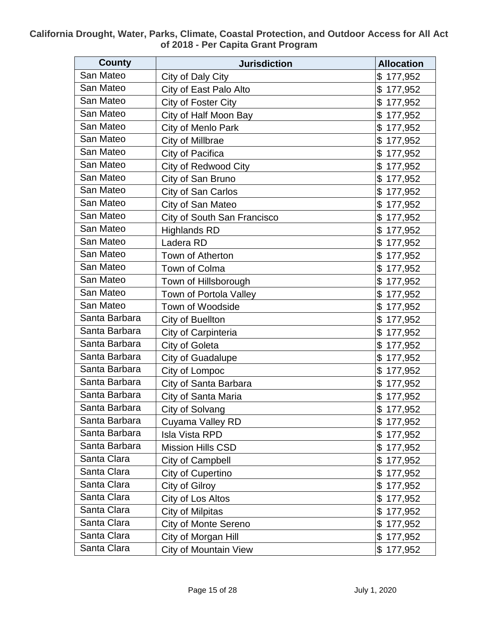| <b>County</b> | <b>Jurisdiction</b>         | <b>Allocation</b> |
|---------------|-----------------------------|-------------------|
| San Mateo     | City of Daly City           | 177,952<br>\$     |
| San Mateo     | City of East Palo Alto      | \$<br>177,952     |
| San Mateo     | City of Foster City         | \$<br>177,952     |
| San Mateo     | City of Half Moon Bay       | \$<br>177,952     |
| San Mateo     | City of Menlo Park          | \$<br>177,952     |
| San Mateo     | City of Millbrae            | \$<br>177,952     |
| San Mateo     | City of Pacifica            | \$<br>177,952     |
| San Mateo     | <b>City of Redwood City</b> | \$<br>177,952     |
| San Mateo     | City of San Bruno           | \$<br>177,952     |
| San Mateo     | City of San Carlos          | \$<br>177,952     |
| San Mateo     | City of San Mateo           | \$<br>177,952     |
| San Mateo     | City of South San Francisco | \$<br>177,952     |
| San Mateo     | <b>Highlands RD</b>         | \$<br>177,952     |
| San Mateo     | Ladera RD                   | \$<br>177,952     |
| San Mateo     | Town of Atherton            | \$<br>177,952     |
| San Mateo     | Town of Colma               | \$<br>177,952     |
| San Mateo     | Town of Hillsborough        | \$<br>177,952     |
| San Mateo     | Town of Portola Valley      | \$<br>177,952     |
| San Mateo     | Town of Woodside            | \$<br>177,952     |
| Santa Barbara | City of Buellton            | \$<br>177,952     |
| Santa Barbara | City of Carpinteria         | \$<br>177,952     |
| Santa Barbara | City of Goleta              | \$<br>177,952     |
| Santa Barbara | <b>City of Guadalupe</b>    | \$<br>177,952     |
| Santa Barbara | City of Lompoc              | \$<br>177,952     |
| Santa Barbara | City of Santa Barbara       | \$<br>177,952     |
| Santa Barbara | City of Santa Maria         | \$<br>177,952     |
| Santa Barbara | City of Solvang             | \$177,952         |
| Santa Barbara | Cuyama Valley RD            | \$177,952         |
| Santa Barbara | <b>Isla Vista RPD</b>       | \$177,952         |
| Santa Barbara | <b>Mission Hills CSD</b>    | \$177,952         |
| Santa Clara   | City of Campbell            | \$177,952         |
| Santa Clara   | City of Cupertino           | \$<br>177,952     |
| Santa Clara   | City of Gilroy              | \$<br>177,952     |
| Santa Clara   | City of Los Altos           | \$<br>177,952     |
| Santa Clara   | <b>City of Milpitas</b>     | \$<br>177,952     |
| Santa Clara   | City of Monte Sereno        | \$177,952         |
| Santa Clara   | City of Morgan Hill         | \$177,952         |
| Santa Clara   | City of Mountain View       | \$177,952         |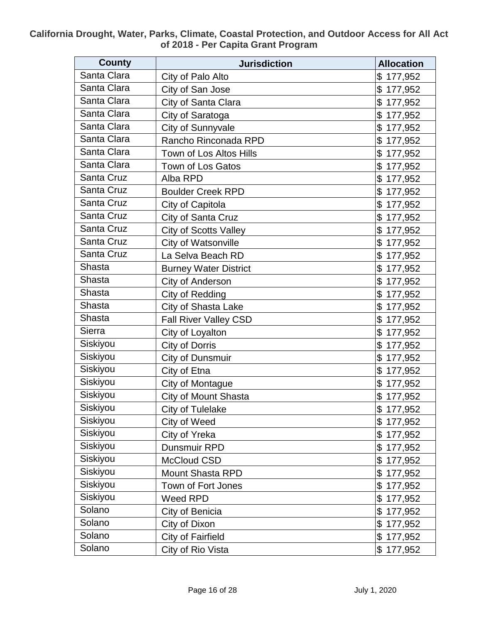| <b>County</b> | <b>Jurisdiction</b>          | <b>Allocation</b> |
|---------------|------------------------------|-------------------|
| Santa Clara   | City of Palo Alto            | \$<br>177,952     |
| Santa Clara   | City of San Jose             | \$<br>177,952     |
| Santa Clara   | City of Santa Clara          | \$<br>177,952     |
| Santa Clara   | City of Saratoga             | \$<br>177,952     |
| Santa Clara   | City of Sunnyvale            | \$<br>177,952     |
| Santa Clara   | Rancho Rinconada RPD         | \$<br>177,952     |
| Santa Clara   | Town of Los Altos Hills      | \$<br>177,952     |
| Santa Clara   | Town of Los Gatos            | 177,952<br>\$     |
| Santa Cruz    | Alba RPD                     | \$<br>177,952     |
| Santa Cruz    | <b>Boulder Creek RPD</b>     | \$<br>177,952     |
| Santa Cruz    | City of Capitola             | \$<br>177,952     |
| Santa Cruz    | City of Santa Cruz           | \$<br>177,952     |
| Santa Cruz    | <b>City of Scotts Valley</b> | \$<br>177,952     |
| Santa Cruz    | City of Watsonville          | \$<br>177,952     |
| Santa Cruz    | La Selva Beach RD            | 177,952<br>\$     |
| <b>Shasta</b> | <b>Burney Water District</b> | \$<br>177,952     |
| Shasta        | City of Anderson             | \$<br>177,952     |
| Shasta        | City of Redding              | \$<br>177,952     |
| Shasta        | <b>City of Shasta Lake</b>   | \$<br>177,952     |
| Shasta        | Fall River Valley CSD        | \$<br>177,952     |
| Sierra        | City of Loyalton             | \$<br>177,952     |
| Siskiyou      | <b>City of Dorris</b>        | \$<br>177,952     |
| Siskiyou      | City of Dunsmuir             | \$<br>177,952     |
| Siskiyou      | City of Etna                 | \$<br>177,952     |
| Siskiyou      | City of Montague             | 177,952<br>\$     |
| Siskiyou      | <b>City of Mount Shasta</b>  | \$<br>177,952     |
| Siskiyou      | City of Tulelake             | \$177,952         |
| Siskiyou      | City of Weed                 | \$177,952         |
| Siskiyou      | City of Yreka                | \$177,952         |
| Siskiyou      | Dunsmuir RPD                 | \$<br>177,952     |
| Siskiyou      | McCloud CSD                  | \$<br>177,952     |
| Siskiyou      | <b>Mount Shasta RPD</b>      | \$<br>177,952     |
| Siskiyou      | Town of Fort Jones           | \$<br>177,952     |
| Siskiyou      | Weed RPD                     | \$<br>177,952     |
| Solano        | City of Benicia              | \$<br>177,952     |
| Solano        | City of Dixon                | \$<br>177,952     |
| Solano        | City of Fairfield            | \$<br>177,952     |
| Solano        | City of Rio Vista            | \$177,952         |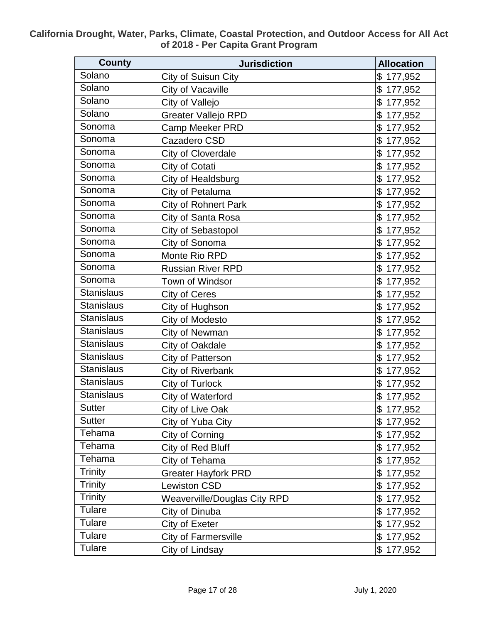| <b>County</b>     | <b>Jurisdiction</b>          | <b>Allocation</b> |
|-------------------|------------------------------|-------------------|
| Solano            | City of Suisun City          | \$<br>177,952     |
| Solano            | City of Vacaville            | \$<br>177,952     |
| Solano            | City of Vallejo              | \$<br>177,952     |
| Solano            | <b>Greater Vallejo RPD</b>   | \$<br>177,952     |
| Sonoma            | <b>Camp Meeker PRD</b>       | \$<br>177,952     |
| Sonoma            | Cazadero CSD                 | \$<br>177,952     |
| Sonoma            | City of Cloverdale           | \$<br>177,952     |
| Sonoma            | City of Cotati               | \$<br>177,952     |
| Sonoma            | City of Healdsburg           | \$<br>177,952     |
| Sonoma            | City of Petaluma             | \$<br>177,952     |
| Sonoma            | <b>City of Rohnert Park</b>  | \$<br>177,952     |
| Sonoma            | City of Santa Rosa           | \$<br>177,952     |
| Sonoma            | City of Sebastopol           | \$<br>177,952     |
| Sonoma            | City of Sonoma               | \$<br>177,952     |
| Sonoma            | Monte Rio RPD                | \$<br>177,952     |
| Sonoma            | <b>Russian River RPD</b>     | \$<br>177,952     |
| Sonoma            | Town of Windsor              | \$<br>177,952     |
| <b>Stanislaus</b> | <b>City of Ceres</b>         | \$<br>177,952     |
| <b>Stanislaus</b> | City of Hughson              | \$<br>177,952     |
| <b>Stanislaus</b> | City of Modesto              | \$<br>177,952     |
| <b>Stanislaus</b> | <b>City of Newman</b>        | \$<br>177,952     |
| <b>Stanislaus</b> | City of Oakdale              | \$<br>177,952     |
| <b>Stanislaus</b> | City of Patterson            | \$<br>177,952     |
| <b>Stanislaus</b> | <b>City of Riverbank</b>     | \$<br>177,952     |
| <b>Stanislaus</b> | City of Turlock              | \$<br>177,952     |
| <b>Stanislaus</b> | City of Waterford            | \$<br>177,952     |
| <b>Sutter</b>     | City of Live Oak             | \$177,952         |
| Sutter            | City of Yuba City            | \$177,952         |
| Tehama            | City of Corning              | \$177,952         |
| Tehama            | City of Red Bluff            | \$177,952         |
| Tehama            | City of Tehama               | \$<br>177,952     |
| <b>Trinity</b>    | <b>Greater Hayfork PRD</b>   | \$<br>177,952     |
| <b>Trinity</b>    | <b>Lewiston CSD</b>          | \$<br>177,952     |
| <b>Trinity</b>    | Weaverville/Douglas City RPD | \$<br>177,952     |
| Tulare            | City of Dinuba               | \$<br>177,952     |
| Tulare            | City of Exeter               | \$177,952         |
| <b>Tulare</b>     | <b>City of Farmersville</b>  | 177,952<br>\$     |
| Tulare            | City of Lindsay              | \$177,952         |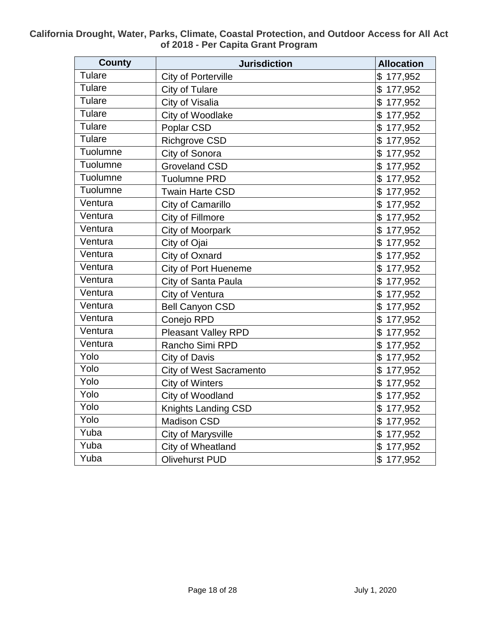| <b>County</b>                  | <b>Jurisdiction</b>            | <b>Allocation</b> |
|--------------------------------|--------------------------------|-------------------|
| <b>Tulare</b>                  | City of Porterville            | \$177,952         |
| <b>Tulare</b>                  | City of Tulare                 | \$177,952         |
| <b>Tulare</b>                  | City of Visalia                | \$177,952         |
| <b>Tulare</b>                  | City of Woodlake               | \$177,952         |
| Tulare                         | Poplar CSD                     | \$177,952         |
| Tulare                         | <b>Richgrove CSD</b>           | \$177,952         |
| Tuolumne                       | City of Sonora                 | \$177,952         |
| Tuolumne                       | <b>Groveland CSD</b>           | \$177,952         |
| Tuolumne                       | <b>Tuolumne PRD</b>            | \$177,952         |
| Tuolumne                       | <b>Twain Harte CSD</b>         | \$177,952         |
| Ventura                        | City of Camarillo              | \$177,952         |
| Ventura                        | City of Fillmore               | \$177,952         |
| Ventura                        | City of Moorpark               | \$177,952         |
| Ventura                        | City of Ojai                   | \$177,952         |
| Ventura                        | City of Oxnard                 | \$177,952         |
| $\overline{\mathsf{V}}$ entura | <b>City of Port Hueneme</b>    | \$177,952         |
| Ventura                        | City of Santa Paula            | \$177,952         |
| Ventura                        | City of Ventura                | \$177,952         |
| Ventura                        | <b>Bell Canyon CSD</b>         | \$177,952         |
| Ventura                        | Conejo RPD                     | \$177,952         |
| Ventura                        | Pleasant Valley RPD            | \$177,952         |
| Ventura                        | Rancho Simi RPD                | \$177,952         |
| Yolo                           | <b>City of Davis</b>           | \$177,952         |
| Yolo                           | <b>City of West Sacramento</b> | \$177,952         |
| Yolo                           | <b>City of Winters</b>         | \$177,952         |
| Yolo                           | City of Woodland               | \$177,952         |
| Yolo                           | <b>Knights Landing CSD</b>     | \$177,952         |
| Yolo                           | <b>Madison CSD</b>             | \$177,952         |
| Yuba                           | <b>City of Marysville</b>      | \$177,952         |
| Yuba                           | City of Wheatland              | \$177,952         |
| Yuba                           | <b>Olivehurst PUD</b>          | \$177,952         |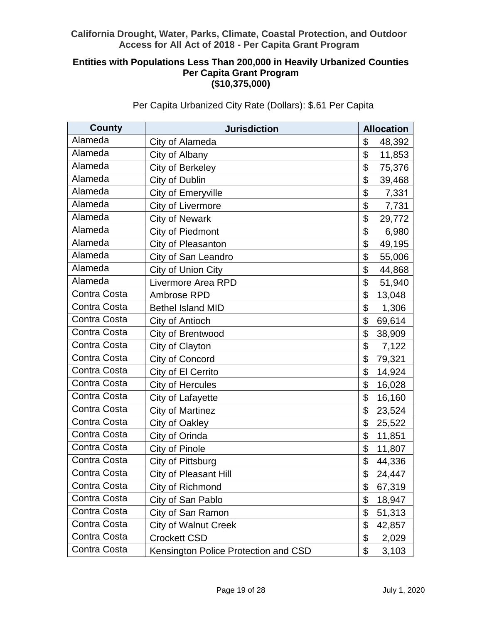# **Entities with Populations Less Than 200,000 in Heavily Urbanized Counties Per Capita Grant Program (\$10,375,000)**

| <b>County</b> | <b>Jurisdiction</b>                  | <b>Allocation</b> |
|---------------|--------------------------------------|-------------------|
| Alameda       | City of Alameda                      | \$<br>48,392      |
| Alameda       | City of Albany                       | \$<br>11,853      |
| Alameda       | City of Berkeley                     | \$<br>75,376      |
| Alameda       | City of Dublin                       | \$<br>39,468      |
| Alameda       | <b>City of Emeryville</b>            | \$<br>7,331       |
| Alameda       | City of Livermore                    | \$<br>7,731       |
| Alameda       | <b>City of Newark</b>                | \$<br>29,772      |
| Alameda       | <b>City of Piedmont</b>              | \$<br>6,980       |
| Alameda       | City of Pleasanton                   | \$<br>49,195      |
| Alameda       | City of San Leandro                  | \$<br>55,006      |
| Alameda       | City of Union City                   | \$<br>44,868      |
| Alameda       | Livermore Area RPD                   | \$<br>51,940      |
| Contra Costa  | Ambrose RPD                          | \$<br>13,048      |
| Contra Costa  | <b>Bethel Island MID</b>             | \$<br>1,306       |
| Contra Costa  | City of Antioch                      | \$<br>69,614      |
| Contra Costa  | City of Brentwood                    | \$<br>38,909      |
| Contra Costa  | City of Clayton                      | \$<br>7,122       |
| Contra Costa  | City of Concord                      | \$<br>79,321      |
| Contra Costa  | City of El Cerrito                   | \$<br>14,924      |
| Contra Costa  | <b>City of Hercules</b>              | \$<br>16,028      |
| Contra Costa  | City of Lafayette                    | \$<br>16,160      |
| Contra Costa  | <b>City of Martinez</b>              | \$<br>23,524      |
| Contra Costa  | City of Oakley                       | \$<br>25,522      |
| Contra Costa  | City of Orinda                       | \$<br>11,851      |
| Contra Costa  | City of Pinole                       | \$<br>11,807      |
| Contra Costa  | City of Pittsburg                    | \$<br>44,336      |
| Contra Costa  | City of Pleasant Hill                | \$<br>24,447      |
| Contra Costa  | City of Richmond                     | \$<br>67,319      |
| Contra Costa  | City of San Pablo                    | \$<br>18,947      |
| Contra Costa  | City of San Ramon                    | \$<br>51,313      |
| Contra Costa  | <b>City of Walnut Creek</b>          | \$<br>42,857      |
| Contra Costa  | <b>Crockett CSD</b>                  | \$<br>2,029       |
| Contra Costa  | Kensington Police Protection and CSD | \$<br>3,103       |

Per Capita Urbanized City Rate (Dollars): \$.61 Per Capita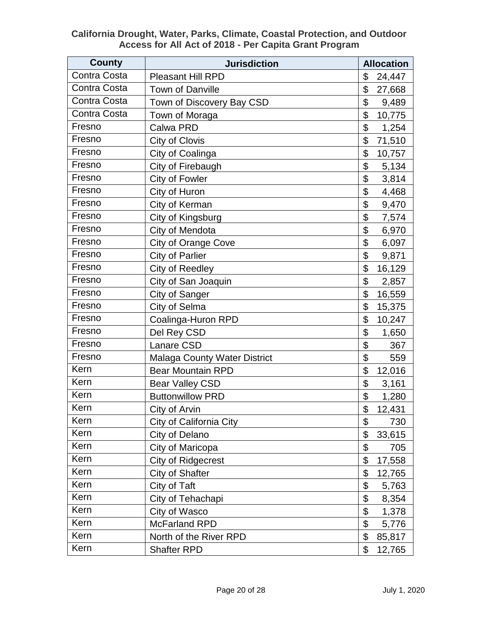| <b>County</b> | <b>Jurisdiction</b>          | <b>Allocation</b> |
|---------------|------------------------------|-------------------|
| Contra Costa  | <b>Pleasant Hill RPD</b>     | \$<br>24,447      |
| Contra Costa  | <b>Town of Danville</b>      | \$<br>27,668      |
| Contra Costa  | Town of Discovery Bay CSD    | \$<br>9,489       |
| Contra Costa  | Town of Moraga               | \$<br>10,775      |
| Fresno        | Calwa PRD                    | \$<br>1,254       |
| Fresno        | City of Clovis               | \$<br>71,510      |
| Fresno        | City of Coalinga             | \$<br>10,757      |
| Fresno        | City of Firebaugh            | \$<br>5,134       |
| Fresno        | City of Fowler               | \$<br>3,814       |
| Fresno        | City of Huron                | \$<br>4,468       |
| Fresno        | City of Kerman               | \$<br>9,470       |
| Fresno        | City of Kingsburg            | \$<br>7,574       |
| Fresno        | City of Mendota              | \$<br>6,970       |
| Fresno        | <b>City of Orange Cove</b>   | \$<br>6,097       |
| Fresno        | <b>City of Parlier</b>       | \$<br>9,871       |
| Fresno        | <b>City of Reedley</b>       | \$<br>16,129      |
| Fresno        | City of San Joaquin          | \$<br>2,857       |
| Fresno        | City of Sanger               | \$<br>16,559      |
| Fresno        | City of Selma                | \$<br>15,375      |
| Fresno        | Coalinga-Huron RPD           | \$<br>10,247      |
| Fresno        | Del Rey CSD                  | \$<br>1,650       |
| Fresno        | Lanare CSD                   | \$<br>367         |
| Fresno        | Malaga County Water District | \$<br>559         |
| Kern          | <b>Bear Mountain RPD</b>     | \$<br>12,016      |
| Kern          | <b>Bear Valley CSD</b>       | \$<br>3,161       |
| Kern          | <b>Buttonwillow PRD</b>      | \$<br>1,280       |
| Kern          | City of Arvin                | \$<br>12,431      |
| Kern          | City of California City      | \$<br>730         |
| Kern          | City of Delano               | \$<br>33,615      |
| Kern          | City of Maricopa             | \$<br>705         |
| Kern          | <b>City of Ridgecrest</b>    | \$<br>17,558      |
| Kern          | City of Shafter              | \$<br>12,765      |
| Kern          | City of Taft                 | \$<br>5,763       |
| Kern          | City of Tehachapi            | \$<br>8,354       |
| Kern          | City of Wasco                | \$<br>1,378       |
| Kern          | <b>McFarland RPD</b>         | \$<br>5,776       |
| Kern          | North of the River RPD       | \$<br>85,817      |
| Kern          | <b>Shafter RPD</b>           | \$<br>12,765      |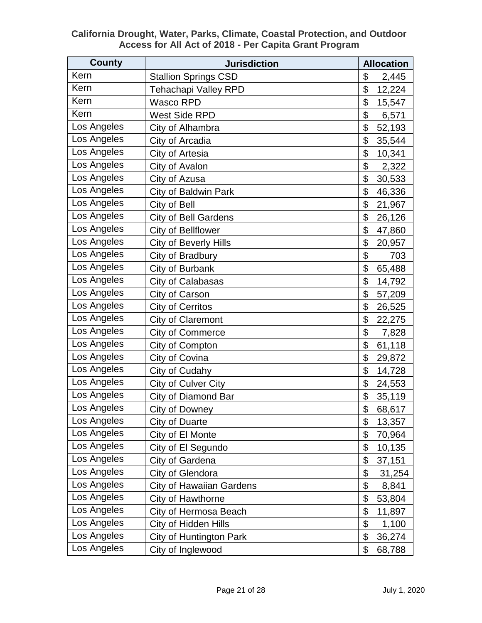| <b>County</b> | <b>Jurisdiction</b>             | <b>Allocation</b> |        |
|---------------|---------------------------------|-------------------|--------|
| Kern          | <b>Stallion Springs CSD</b>     | \$                | 2,445  |
| Kern          | <b>Tehachapi Valley RPD</b>     | \$                | 12,224 |
| Kern          | <b>Wasco RPD</b>                | \$                | 15,547 |
| Kern          | <b>West Side RPD</b>            | \$                | 6,571  |
| Los Angeles   | City of Alhambra                | \$                | 52,193 |
| Los Angeles   | City of Arcadia                 | \$                | 35,544 |
| Los Angeles   | City of Artesia                 | \$                | 10,341 |
| Los Angeles   | City of Avalon                  | \$                | 2,322  |
| Los Angeles   | City of Azusa                   | \$                | 30,533 |
| Los Angeles   | <b>City of Baldwin Park</b>     | \$                | 46,336 |
| Los Angeles   | City of Bell                    | \$                | 21,967 |
| Los Angeles   | <b>City of Bell Gardens</b>     | \$                | 26,126 |
| Los Angeles   | City of Bellflower              | \$                | 47,860 |
| Los Angeles   | <b>City of Beverly Hills</b>    | \$                | 20,957 |
| Los Angeles   | City of Bradbury                | \$                | 703    |
| Los Angeles   | City of Burbank                 | \$                | 65,488 |
| Los Angeles   | City of Calabasas               | \$                | 14,792 |
| Los Angeles   | City of Carson                  | \$                | 57,209 |
| Los Angeles   | <b>City of Cerritos</b>         | \$                | 26,525 |
| Los Angeles   | <b>City of Claremont</b>        | \$                | 22,275 |
| Los Angeles   | <b>City of Commerce</b>         | \$                | 7,828  |
| Los Angeles   | City of Compton                 | \$                | 61,118 |
| Los Angeles   | City of Covina                  | \$                | 29,872 |
| Los Angeles   | City of Cudahy                  | \$                | 14,728 |
| Los Angeles   | City of Culver City             | \$                | 24,553 |
| Los Angeles   | City of Diamond Bar             | \$                | 35,119 |
| Los Angeles   | City of Downey                  | \$                | 68,617 |
| Los Angeles   | City of Duarte                  | \$                | 13,357 |
| Los Angeles   | City of El Monte                | \$                | 70,964 |
| Los Angeles   | City of El Segundo              | \$                | 10,135 |
| Los Angeles   | City of Gardena                 | \$                | 37,151 |
| Los Angeles   | City of Glendora                | \$                | 31,254 |
| Los Angeles   | <b>City of Hawaiian Gardens</b> | \$                | 8,841  |
| Los Angeles   | City of Hawthorne               | \$                | 53,804 |
| Los Angeles   | City of Hermosa Beach           | \$                | 11,897 |
| Los Angeles   | <b>City of Hidden Hills</b>     | \$                | 1,100  |
| Los Angeles   | <b>City of Huntington Park</b>  | \$                | 36,274 |
| Los Angeles   | City of Inglewood               | \$                | 68,788 |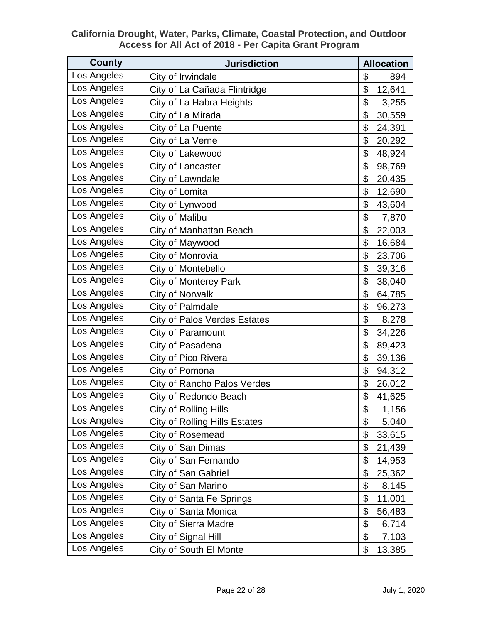| County      | <b>Jurisdiction</b>                  | <b>Allocation</b> |  |
|-------------|--------------------------------------|-------------------|--|
| Los Angeles | City of Irwindale                    | \$<br>894         |  |
| Los Angeles | City of La Cañada Flintridge         | \$<br>12,641      |  |
| Los Angeles | City of La Habra Heights             | \$<br>3,255       |  |
| Los Angeles | City of La Mirada                    | \$<br>30,559      |  |
| Los Angeles | City of La Puente                    | \$<br>24,391      |  |
| Los Angeles | City of La Verne                     | \$<br>20,292      |  |
| Los Angeles | City of Lakewood                     | \$<br>48,924      |  |
| Los Angeles | City of Lancaster                    | \$<br>98,769      |  |
| Los Angeles | City of Lawndale                     | \$<br>20,435      |  |
| Los Angeles | City of Lomita                       | \$<br>12,690      |  |
| Los Angeles | City of Lynwood                      | \$<br>43,604      |  |
| Los Angeles | <b>City of Malibu</b>                | \$<br>7,870       |  |
| Los Angeles | City of Manhattan Beach              | \$<br>22,003      |  |
| Los Angeles | City of Maywood                      | \$<br>16,684      |  |
| Los Angeles | City of Monrovia                     | \$<br>23,706      |  |
| Los Angeles | City of Montebello                   | \$<br>39,316      |  |
| Los Angeles | <b>City of Monterey Park</b>         | \$<br>38,040      |  |
| Los Angeles | <b>City of Norwalk</b>               | \$<br>64,785      |  |
| Los Angeles | <b>City of Palmdale</b>              | \$<br>96,273      |  |
| Los Angeles | <b>City of Palos Verdes Estates</b>  | \$<br>8,278       |  |
| Los Angeles | City of Paramount                    | \$<br>34,226      |  |
| Los Angeles | City of Pasadena                     | \$<br>89,423      |  |
| Los Angeles | City of Pico Rivera                  | \$<br>39,136      |  |
| Los Angeles | City of Pomona                       | \$<br>94,312      |  |
| Los Angeles | <b>City of Rancho Palos Verdes</b>   | \$<br>26,012      |  |
| Los Angeles | City of Redondo Beach                | \$<br>41,625      |  |
| Los Angeles | <b>City of Rolling Hills</b>         | \$<br>1,156       |  |
| Los Angeles | <b>City of Rolling Hills Estates</b> | \$<br>5,040       |  |
| Los Angeles | City of Rosemead                     | \$<br>33,615      |  |
| Los Angeles | City of San Dimas                    | \$<br>21,439      |  |
| Los Angeles | City of San Fernando                 | \$<br>14,953      |  |
| Los Angeles | <b>City of San Gabriel</b>           | \$<br>25,362      |  |
| Los Angeles | City of San Marino                   | \$<br>8,145       |  |
| Los Angeles | City of Santa Fe Springs             | \$<br>11,001      |  |
| Los Angeles | City of Santa Monica                 | \$<br>56,483      |  |
| Los Angeles | <b>City of Sierra Madre</b>          | \$<br>6,714       |  |
| Los Angeles | City of Signal Hill                  | \$<br>7,103       |  |
| Los Angeles | City of South El Monte               | \$<br>13,385      |  |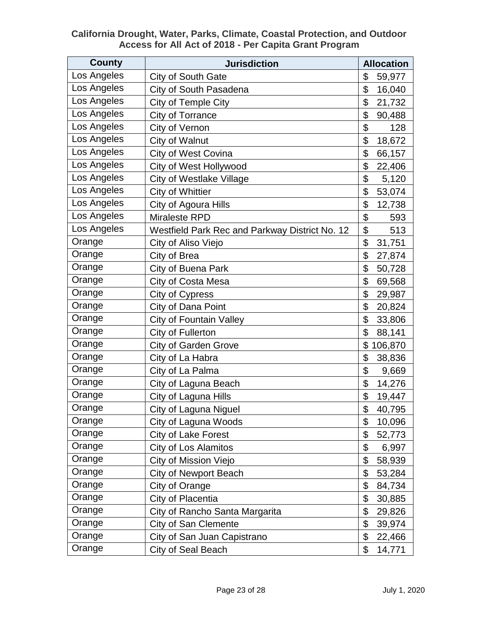| County      | <b>Jurisdiction</b>                            | <b>Allocation</b> |
|-------------|------------------------------------------------|-------------------|
| Los Angeles | City of South Gate                             | \$<br>59,977      |
| Los Angeles | City of South Pasadena                         | \$<br>16,040      |
| Los Angeles | City of Temple City                            | \$<br>21,732      |
| Los Angeles | <b>City of Torrance</b>                        | \$<br>90,488      |
| Los Angeles | City of Vernon                                 | \$<br>128         |
| Los Angeles | City of Walnut                                 | 18,672<br>\$      |
| Los Angeles | <b>City of West Covina</b>                     | \$<br>66,157      |
| Los Angeles | City of West Hollywood                         | \$<br>22,406      |
| Los Angeles | City of Westlake Village                       | \$<br>5,120       |
| Los Angeles | <b>City of Whittier</b>                        | \$<br>53,074      |
| Los Angeles | City of Agoura Hills                           | \$<br>12,738      |
| Los Angeles | <b>Miraleste RPD</b>                           | \$<br>593         |
| Los Angeles | Westfield Park Rec and Parkway District No. 12 | \$<br>513         |
| Orange      | City of Aliso Viejo                            | \$<br>31,751      |
| Orange      | City of Brea                                   | \$<br>27,874      |
| Orange      | City of Buena Park                             | \$<br>50,728      |
| Orange      | City of Costa Mesa                             | \$<br>69,568      |
| Orange      | City of Cypress                                | \$<br>29,987      |
| Orange      | City of Dana Point                             | \$<br>20,824      |
| Orange      | <b>City of Fountain Valley</b>                 | \$<br>33,806      |
| Orange      | City of Fullerton                              | \$<br>88,141      |
| Orange      | <b>City of Garden Grove</b>                    | \$<br>106,870     |
| Orange      | City of La Habra                               | \$<br>38,836      |
| Orange      | City of La Palma                               | \$<br>9,669       |
| Orange      | City of Laguna Beach                           | \$<br>14,276      |
| Orange      | City of Laguna Hills                           | \$<br>19,447      |
| Orange      | City of Laguna Niguel                          | \$<br>40,795      |
| Orange      | City of Laguna Woods                           | \$<br>10,096      |
| Orange      | City of Lake Forest                            | \$<br>52,773      |
| Orange      | <b>City of Los Alamitos</b>                    | \$<br>6,997       |
| Orange      | City of Mission Viejo                          | \$<br>58,939      |
| Orange      | <b>City of Newport Beach</b>                   | \$<br>53,284      |
| Orange      | City of Orange                                 | \$<br>84,734      |
| Orange      | City of Placentia                              | \$<br>30,885      |
| Orange      | City of Rancho Santa Margarita                 | \$<br>29,826      |
| Orange      | <b>City of San Clemente</b>                    | \$<br>39,974      |
| Orange      | City of San Juan Capistrano                    | \$<br>22,466      |
| Orange      | City of Seal Beach                             | \$<br>14,771      |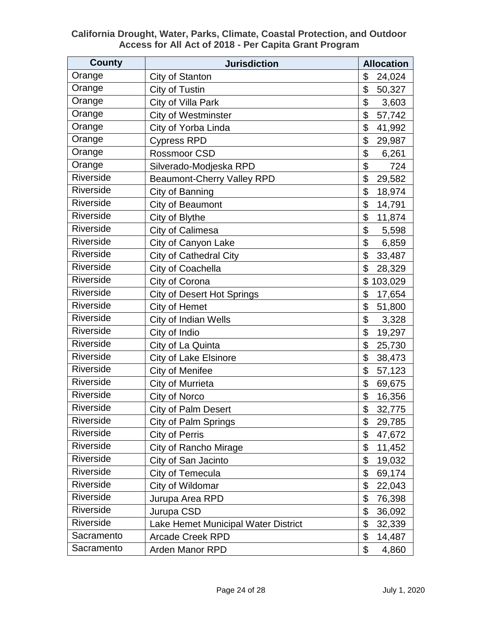| County     | <b>Jurisdiction</b>                 | <b>Allocation</b> |
|------------|-------------------------------------|-------------------|
| Orange     | City of Stanton                     | \$<br>24,024      |
| Orange     | City of Tustin                      | \$<br>50,327      |
| Orange     | City of Villa Park                  | \$<br>3,603       |
| Orange     | <b>City of Westminster</b>          | \$<br>57,742      |
| Orange     | City of Yorba Linda                 | \$<br>41,992      |
| Orange     | <b>Cypress RPD</b>                  | \$<br>29,987      |
| Orange     | Rossmoor CSD                        | \$<br>6,261       |
| Orange     | Silverado-Modjeska RPD              | \$<br>724         |
| Riverside  | <b>Beaumont-Cherry Valley RPD</b>   | \$<br>29,582      |
| Riverside  | City of Banning                     | \$<br>18,974      |
| Riverside  | City of Beaumont                    | \$<br>14,791      |
| Riverside  | City of Blythe                      | \$<br>11,874      |
| Riverside  | City of Calimesa                    | \$<br>5,598       |
| Riverside  | City of Canyon Lake                 | \$<br>6,859       |
| Riverside  | <b>City of Cathedral City</b>       | \$<br>33,487      |
| Riverside  | City of Coachella                   | \$<br>28,329      |
| Riverside  | City of Corona                      | \$<br>103,029     |
| Riverside  | <b>City of Desert Hot Springs</b>   | \$<br>17,654      |
| Riverside  | City of Hemet                       | \$<br>51,800      |
| Riverside  | City of Indian Wells                | \$<br>3,328       |
| Riverside  | City of Indio                       | \$<br>19,297      |
| Riverside  | City of La Quinta                   | \$<br>25,730      |
| Riverside  | City of Lake Elsinore               | \$<br>38,473      |
| Riverside  | City of Menifee                     | \$<br>57,123      |
| Riverside  | City of Murrieta                    | \$<br>69,675      |
| Riverside  | City of Norco                       | \$<br>16,356      |
| Riverside  | <b>City of Palm Desert</b>          | \$<br>32,775      |
| Riverside  | City of Palm Springs                | \$<br>29,785      |
| Riverside  | City of Perris                      | \$<br>47,672      |
| Riverside  | City of Rancho Mirage               | \$<br>11,452      |
| Riverside  | City of San Jacinto                 | \$<br>19,032      |
| Riverside  | City of Temecula                    | \$<br>69,174      |
| Riverside  | City of Wildomar                    | \$<br>22,043      |
| Riverside  | Jurupa Area RPD                     | \$<br>76,398      |
| Riverside  | Jurupa CSD                          | \$<br>36,092      |
| Riverside  | Lake Hemet Municipal Water District | \$<br>32,339      |
| Sacramento | <b>Arcade Creek RPD</b>             | \$<br>14,487      |
| Sacramento | <b>Arden Manor RPD</b>              | \$<br>4,860       |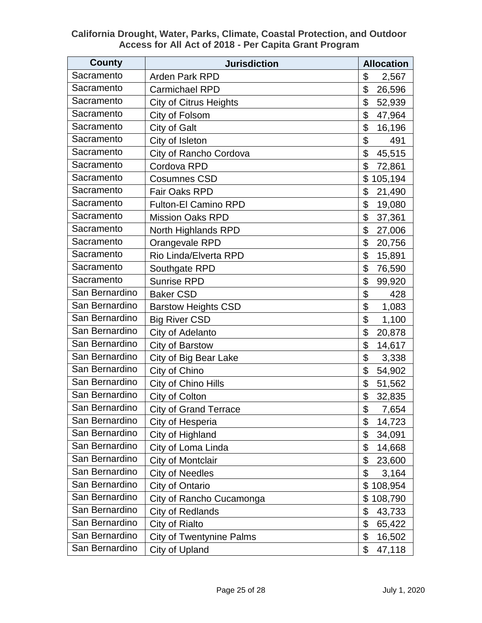| <b>County</b>  | <b>Jurisdiction</b>             | <b>Allocation</b> |  |
|----------------|---------------------------------|-------------------|--|
| Sacramento     | <b>Arden Park RPD</b>           | \$<br>2,567       |  |
| Sacramento     | <b>Carmichael RPD</b>           | \$<br>26,596      |  |
| Sacramento     | <b>City of Citrus Heights</b>   | \$<br>52,939      |  |
| Sacramento     | City of Folsom                  | \$<br>47,964      |  |
| Sacramento     | City of Galt                    | \$<br>16,196      |  |
| Sacramento     | City of Isleton                 | \$<br>491         |  |
| Sacramento     | City of Rancho Cordova          | \$<br>45,515      |  |
| Sacramento     | Cordova RPD                     | \$<br>72,861      |  |
| Sacramento     | <b>Cosumnes CSD</b>             | \$<br>105,194     |  |
| Sacramento     | <b>Fair Oaks RPD</b>            | \$<br>21,490      |  |
| Sacramento     | <b>Fulton-El Camino RPD</b>     | \$<br>19,080      |  |
| Sacramento     | <b>Mission Oaks RPD</b>         | \$<br>37,361      |  |
| Sacramento     | North Highlands RPD             | \$<br>27,006      |  |
| Sacramento     | Orangevale RPD                  | \$<br>20,756      |  |
| Sacramento     | Rio Linda/Elverta RPD           | \$<br>15,891      |  |
| Sacramento     | Southgate RPD                   | \$<br>76,590      |  |
| Sacramento     | <b>Sunrise RPD</b>              | \$<br>99,920      |  |
| San Bernardino | <b>Baker CSD</b>                | \$<br>428         |  |
| San Bernardino | <b>Barstow Heights CSD</b>      | \$<br>1,083       |  |
| San Bernardino | <b>Big River CSD</b>            | \$<br>1,100       |  |
| San Bernardino | City of Adelanto                | \$<br>20,878      |  |
| San Bernardino | City of Barstow                 | \$<br>14,617      |  |
| San Bernardino | City of Big Bear Lake           | \$<br>3,338       |  |
| San Bernardino | City of Chino                   | \$<br>54,902      |  |
| San Bernardino | City of Chino Hills             | \$<br>51,562      |  |
| San Bernardino | City of Colton                  | \$<br>32,835      |  |
| San Bernardino | <b>City of Grand Terrace</b>    | \$<br>7,654       |  |
| San Bernardino | City of Hesperia                | \$<br>14,723      |  |
| San Bernardino | City of Highland                | \$<br>34,091      |  |
| San Bernardino | City of Loma Linda              | \$<br>14,668      |  |
| San Bernardino | City of Montclair               | \$<br>23,600      |  |
| San Bernardino | <b>City of Needles</b>          | \$<br>3,164       |  |
| San Bernardino | City of Ontario                 | \$<br>108,954     |  |
| San Bernardino | City of Rancho Cucamonga        | \$<br>108,790     |  |
| San Bernardino | City of Redlands                | \$<br>43,733      |  |
| San Bernardino | City of Rialto                  | \$<br>65,422      |  |
| San Bernardino | <b>City of Twentynine Palms</b> | \$<br>16,502      |  |
| San Bernardino | City of Upland                  | \$<br>47,118      |  |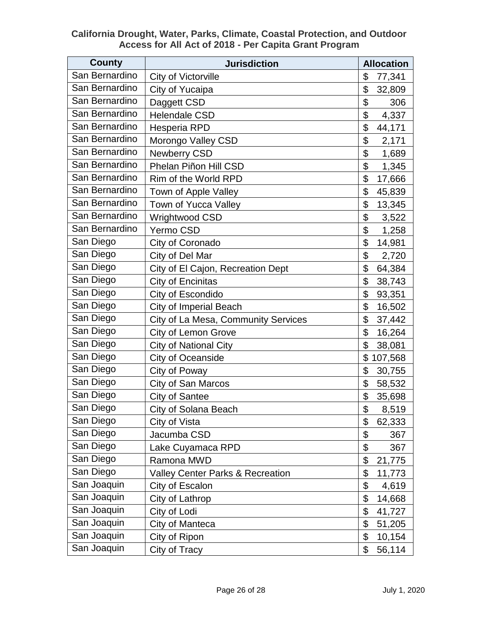| <b>County</b>  | <b>Jurisdiction</b>                         | <b>Allocation</b> |  |
|----------------|---------------------------------------------|-------------------|--|
| San Bernardino | City of Victorville                         | \$<br>77,341      |  |
| San Bernardino | City of Yucaipa                             | \$<br>32,809      |  |
| San Bernardino | Daggett CSD                                 | \$<br>306         |  |
| San Bernardino | <b>Helendale CSD</b>                        | \$<br>4,337       |  |
| San Bernardino | Hesperia RPD                                | \$<br>44,171      |  |
| San Bernardino | Morongo Valley CSD                          | \$<br>2,171       |  |
| San Bernardino | Newberry CSD                                | \$<br>1,689       |  |
| San Bernardino | Phelan Piñon Hill CSD                       | \$<br>1,345       |  |
| San Bernardino | Rim of the World RPD                        | \$<br>17,666      |  |
| San Bernardino | Town of Apple Valley                        | \$<br>45,839      |  |
| San Bernardino | Town of Yucca Valley                        | \$<br>13,345      |  |
| San Bernardino | Wrightwood CSD                              | \$<br>3,522       |  |
| San Bernardino | Yermo CSD                                   | \$<br>1,258       |  |
| San Diego      | City of Coronado                            | \$<br>14,981      |  |
| San Diego      | City of Del Mar                             | \$<br>2,720       |  |
| San Diego      | City of El Cajon, Recreation Dept           | \$<br>64,384      |  |
| San Diego      | City of Encinitas                           | \$<br>38,743      |  |
| San Diego      | City of Escondido                           | \$<br>93,351      |  |
| San Diego      | <b>City of Imperial Beach</b>               | \$<br>16,502      |  |
| San Diego      | City of La Mesa, Community Services         | \$<br>37,442      |  |
| San Diego      | <b>City of Lemon Grove</b>                  | \$<br>16,264      |  |
| San Diego      | City of National City                       | \$<br>38,081      |  |
| San Diego      | City of Oceanside                           | \$<br>107,568     |  |
| San Diego      | City of Poway                               | \$<br>30,755      |  |
| San Diego      | City of San Marcos                          | \$<br>58,532      |  |
| San Diego      | City of Santee                              | \$<br>35,698      |  |
| San Diego      | City of Solana Beach                        | \$<br>8,519       |  |
| San Diego      | City of Vista                               | \$<br>62,333      |  |
| San Diego      | Jacumba CSD                                 | \$<br>367         |  |
| San Diego      | Lake Cuyamaca RPD                           | \$<br>367         |  |
| San Diego      | Ramona MWD                                  | \$<br>21,775      |  |
| San Diego      | <b>Valley Center Parks &amp; Recreation</b> | \$<br>11,773      |  |
| San Joaquin    | City of Escalon                             | \$<br>4,619       |  |
| San Joaquin    | City of Lathrop                             | \$<br>14,668      |  |
| San Joaquin    | City of Lodi                                | \$<br>41,727      |  |
| San Joaquin    | City of Manteca                             | \$<br>51,205      |  |
| San Joaquin    | City of Ripon                               | \$<br>10,154      |  |
| San Joaquin    | City of Tracy                               | \$<br>56,114      |  |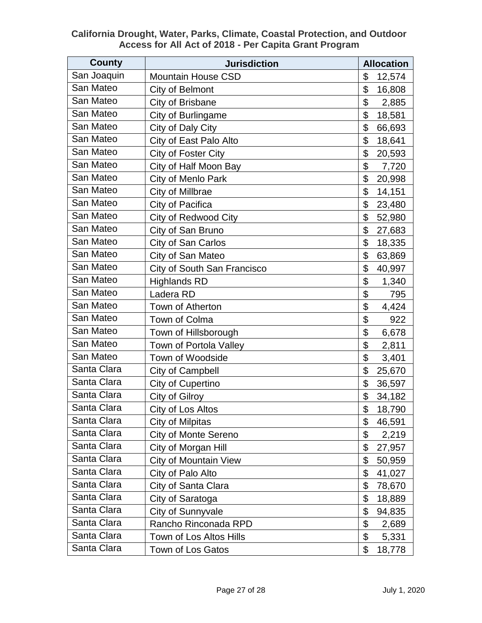| <b>County</b> | <b>Jurisdiction</b>         | <b>Allocation</b> |        |
|---------------|-----------------------------|-------------------|--------|
| San Joaquin   | <b>Mountain House CSD</b>   | \$                | 12,574 |
| San Mateo     | City of Belmont             | \$                | 16,808 |
| San Mateo     | City of Brisbane            | \$                | 2,885  |
| San Mateo     | City of Burlingame          | \$                | 18,581 |
| San Mateo     | City of Daly City           | \$                | 66,693 |
| San Mateo     | City of East Palo Alto      | \$                | 18,641 |
| San Mateo     | City of Foster City         | \$                | 20,593 |
| San Mateo     | City of Half Moon Bay       | \$                | 7,720  |
| San Mateo     | City of Menlo Park          | \$                | 20,998 |
| San Mateo     | City of Millbrae            | \$                | 14,151 |
| San Mateo     | City of Pacifica            | \$                | 23,480 |
| San Mateo     | <b>City of Redwood City</b> | \$                | 52,980 |
| San Mateo     | City of San Bruno           | \$                | 27,683 |
| San Mateo     | City of San Carlos          | \$                | 18,335 |
| San Mateo     | City of San Mateo           | \$                | 63,869 |
| San Mateo     | City of South San Francisco | \$                | 40,997 |
| San Mateo     | <b>Highlands RD</b>         | \$                | 1,340  |
| San Mateo     | Ladera RD                   | \$                | 795    |
| San Mateo     | Town of Atherton            | \$                | 4,424  |
| San Mateo     | Town of Colma               | \$                | 922    |
| San Mateo     | Town of Hillsborough        | \$                | 6,678  |
| San Mateo     | Town of Portola Valley      | \$                | 2,811  |
| San Mateo     | Town of Woodside            | \$                | 3,401  |
| Santa Clara   | <b>City of Campbell</b>     | \$                | 25,670 |
| Santa Clara   | City of Cupertino           | \$                | 36,597 |
| Santa Clara   | City of Gilroy              | \$                | 34,182 |
| Santa Clara   | City of Los Altos           | \$                | 18,790 |
| Santa Clara   | City of Milpitas            | \$                | 46,591 |
| Santa Clara   | <b>City of Monte Sereno</b> | \$                | 2,219  |
| Santa Clara   | City of Morgan Hill         | \$                | 27,957 |
| Santa Clara   | City of Mountain View       | \$                | 50,959 |
| Santa Clara   | City of Palo Alto           | \$                | 41,027 |
| Santa Clara   | City of Santa Clara         | \$                | 78,670 |
| Santa Clara   | City of Saratoga            | \$                | 18,889 |
| Santa Clara   | City of Sunnyvale           | \$                | 94,835 |
| Santa Clara   | Rancho Rinconada RPD        | \$                | 2,689  |
| Santa Clara   | Town of Los Altos Hills     | \$                | 5,331  |
| Santa Clara   | Town of Los Gatos           | \$                | 18,778 |